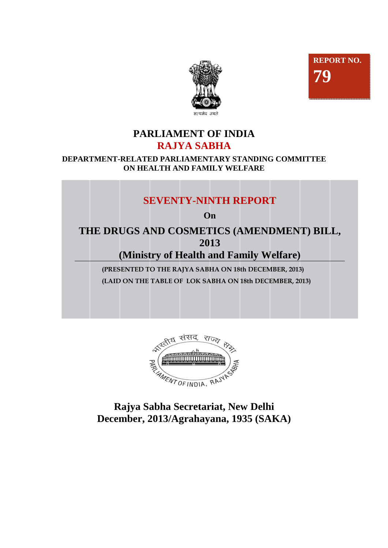



# **PARLIAMENT OF INDIA RAJYA SABHA**

#### **DEPARTMENT-RELATED PARLIAMENTARY STANDING COMMITTEE ON HEALTH AND FAMILY WELFARE**

# **SEVENTY-NINTH REPORT**

**On** 

**THE DRUGS AND COSMETICS (AMENDMENT) BILL, 2013** 

**(Ministry of Health and Family Welfare)** 

 **(PRESENTED TO THE RAJYA SABHA ON 18th DECEMBER, 2013) (LAID ON THE TABLE OF LOK SABHA ON 18th DECEMBER, 2013)** 



**Rajya Sabha Secretariat, New Delhi December, 2013/Agrahayana, 1935 (SAKA)**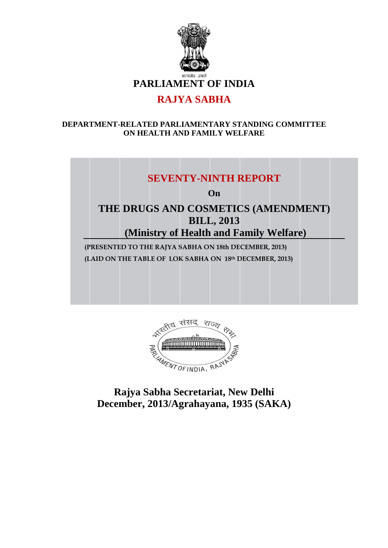

# **RAJYA SABHA**

#### **DEPARTMENT-RELATED PARLIAMENTARY STANDING COMMITTEE ON HEALTH AND FAMILY WELFARE**

# **SEVENTY-NINTH REPORT**

**On** 

# **THE DRUGS AND COSMETICS (AMENDMENT) BILL, 2013 (Ministry of Health and Family Welfare)**

**(PRESENTED TO THE RAJYA SABHA ON 18th DECEMBER, 2013) (LAID ON THE TABLE OF LOK SABHA ON 18th DECEMBER, 2013)** 



**Rajya Sabha Secretariat, New Delhi December, 2013/Agrahayana, 1935 (SAKA)**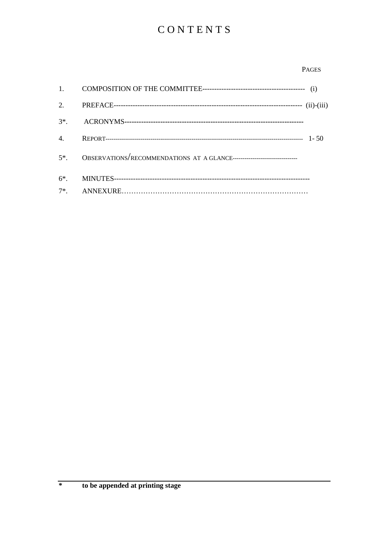# CONTENTS

#### **PAGES**

| 4. |  |
|----|--|
|    |  |
|    |  |
|    |  |

 $\ast$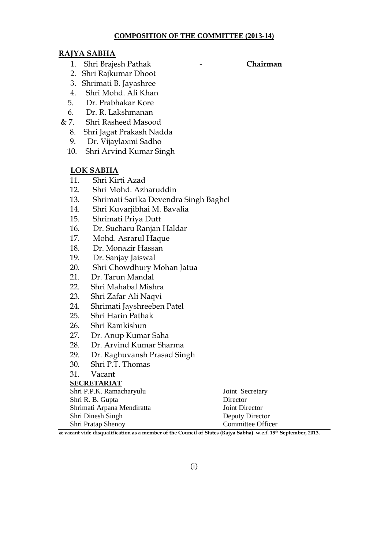#### **COMPOSITION OF THE COMMITTEE (2013-14)**

# **RAJYA SABHA**

- 1. Shri Brajesh Pathak **Chairman**
- 2. Shri Rajkumar Dhoot
- 3. Shrimati B. Jayashree
- 4. Shri Mohd. Ali Khan
- 5. Dr. Prabhakar Kore
- 6. Dr. R. Lakshmanan
- & 7. Shri Rasheed Masood
	- 8. Shri Jagat Prakash Nadda
	- 9. Dr. Vijaylaxmi Sadho
	- 10. Shri Arvind Kumar Singh

#### **LOK SABHA**

- 11. Shri Kirti Azad
- 12. Shri Mohd. Azharuddin
- 13. Shrimati Sarika Devendra Singh Baghel
- 14. Shri Kuvarjibhai M. Bavalia
- 15. Shrimati Priya Dutt
- 16. Dr. Sucharu Ranjan Haldar
- 17. Mohd. Asrarul Haque
- 18. Dr. Monazir Hassan
- 19. Dr. Sanjay Jaiswal
- 20. Shri Chowdhury Mohan Jatua
- 21. Dr. Tarun Mandal
- 22. Shri Mahabal Mishra
- 23. Shri Zafar Ali Naqvi
- 24. Shrimati Jayshreeben Patel
- 25. Shri Harin Pathak
- 26. Shri Ramkishun
- 27. Dr. Anup Kumar Saha
- 28. Dr. Arvind Kumar Sharma
- 29. Dr. Raghuvansh Prasad Singh
- 30. Shri P.T. Thomas
- 31. Vacant

#### **SECRETARIAT**

| Shri P.P.K. Ramacharyulu   | Joint Secretary   |
|----------------------------|-------------------|
| Shri R. B. Gupta           | Director          |
| Shrimati Arpana Mendiratta | Joint Director    |
| Shri Dinesh Singh          | Deputy Director   |
| Shri Pratap Shenoy         | Committee Officer |

**& vacant vide disqualification as a member of the Council of States (Rajya Sabha) w.e.f. 19th September, 2013.**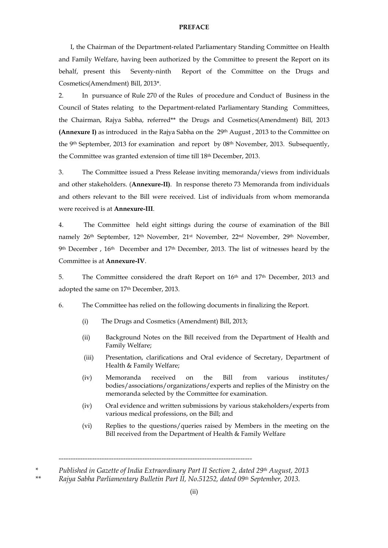#### **PREFACE**

I, the Chairman of the Department-related Parliamentary Standing Committee on Health and Family Welfare, having been authorized by the Committee to present the Report on its behalf, present this Seventy-ninth Report of the Committee on the Drugs and Cosmetics(Amendment) Bill, 2013\*.

2. In pursuance of Rule 270 of the Rules of procedure and Conduct of Business in the Council of States relating to the Department-related Parliamentary Standing Committees, the Chairman, Rajya Sabha, referred\*\* the Drugs and Cosmetics(Amendment) Bill, 2013 **(Annexure I)** as introduced in the Rajya Sabha on the 29<sup>th</sup> August, 2013 to the Committee on the 9th September, 2013 for examination and report by 08th November, 2013. Subsequently, the Committee was granted extension of time till 18th December, 2013.

3. The Committee issued a Press Release inviting memoranda/views from individuals and other stakeholders. (**Annexure-II)**. In response thereto 73 Memoranda from individuals and others relevant to the Bill were received. List of individuals from whom memoranda were received is at **Annexure-III**.

4. The Committee held eight sittings during the course of examination of the Bill namely 26th September, 12th November, 21st November, 22nd November, 29th November, 9 th December , 16th December and 17th December, 2013. The list of witnesses heard by the Committee is at **Annexure-IV**.

5. The Committee considered the draft Report on 16<sup>th</sup> and 17<sup>th</sup> December, 2013 and adopted the same on 17th December, 2013.

6. The Committee has relied on the following documents in finalizing the Report.

- (i) The Drugs and Cosmetics (Amendment) Bill, 2013;
- (ii) Background Notes on the Bill received from the Department of Health and Family Welfare;
- (iii) Presentation, clarifications and Oral evidence of Secretary, Department of Health & Family Welfare;
- (iv) Memoranda received on the Bill from various institutes/ bodies/associations/organizations/experts and replies of the Ministry on the memoranda selected by the Committee for examination.
- (iv) Oral evidence and written submissions by various stakeholders/experts from various medical professions, on the Bill; and
- (vi) Replies to the questions/queries raised by Members in the meeting on the Bill received from the Department of Health & Family Welfare

*---------------------------------------------------------------------------------* 

*<sup>\*</sup> Published in Gazette of India Extraordinary Part II Section 2, dated 29th August, 2013 \*\* Rajya Sabha Parliamentary Bulletin Part II, No.51252, dated 09th September, 2013.* 

<sup>(</sup>ii)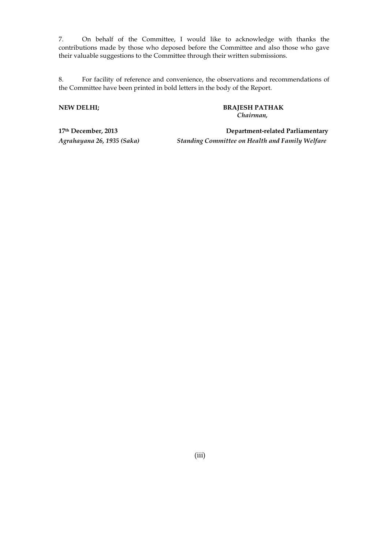7. On behalf of the Committee, I would like to acknowledge with thanks the contributions made by those who deposed before the Committee and also those who gave their valuable suggestions to the Committee through their written submissions.

8. For facility of reference and convenience, the observations and recommendations of the Committee have been printed in bold letters in the body of the Report.

**NEW DELHI; BRAJESH PATHAK**   *Chairman,* 

**17th December, 2013 Department-related Parliamentary**  *Agrahayana 26, 1935 (Saka) Standing Committee on Health and Family Welfare*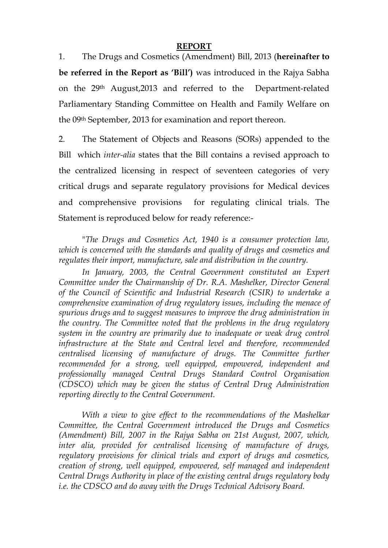#### **REPORT**

1. The Drugs and Cosmetics (Amendment) Bill, 2013 (**hereinafter to be referred in the Report as 'Bill')** was introduced in the Rajya Sabha on the 29th August,2013 and referred to the Department-related Parliamentary Standing Committee on Health and Family Welfare on the 09th September, 2013 for examination and report thereon.

2. The Statement of Objects and Reasons (SORs) appended to the Bill which *inter-alia* states that the Bill contains a revised approach to the centralized licensing in respect of seventeen categories of very critical drugs and separate regulatory provisions for Medical devices and comprehensive provisions for regulating clinical trials. The Statement is reproduced below for ready reference:-

 "*The Drugs and Cosmetics Act, 1940 is a consumer protection law, which is concerned with the standards and quality of drugs and cosmetics and regulates their import, manufacture, sale and distribution in the country.* 

 *In January, 2003, the Central Government constituted an Expert Committee under the Chairmanship of Dr. R.A. Mashelker, Director General of the Council of Scientific and Industrial Research (CSIR) to undertake a comprehensive examination of drug regulatory issues, including the menace of spurious drugs and to suggest measures to improve the drug administration in the country. The Committee noted that the problems in the drug regulatory system in the country are primarily due to inadequate or weak drug control infrastructure at the State and Central level and therefore, recommended centralised licensing of manufacture of drugs. The Committee further recommended for a strong, well equipped, empowered, independent and professionally managed Central Drugs Standard Control Organisation (CDSCO) which may be given the status of Central Drug Administration reporting directly to the Central Government.* 

 *With a view to give effect to the recommendations of the Mashelkar Committee, the Central Government introduced the Drugs and Cosmetics (Amendment) Bill, 2007 in the Rajya Sabha on 21st August, 2007, which, inter alia, provided for centralised licensing of manufacture of drugs, regulatory provisions for clinical trials and export of drugs and cosmetics, creation of strong, well equipped, empowered, self managed and independent Central Drugs Authority in place of the existing central drugs regulatory body i.e. the CDSCO and do away with the Drugs Technical Advisory Board.*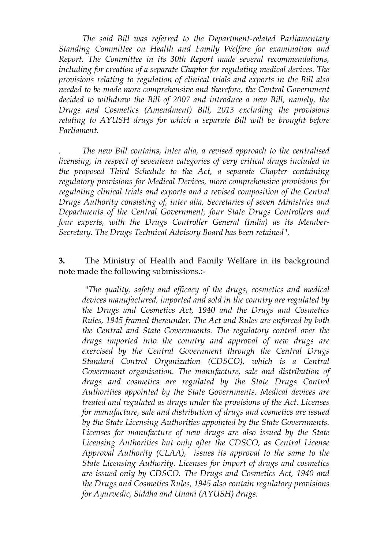*The said Bill was referred to the Department-related Parliamentary Standing Committee on Health and Family Welfare for examination and Report. The Committee in its 30th Report made several recommendations, including for creation of a separate Chapter for regulating medical devices. The provisions relating to regulation of clinical trials and exports in the Bill also needed to be made more comprehensive and therefore, the Central Government decided to withdraw the Bill of 2007 and introduce a new Bill, namely, the Drugs and Cosmetics (Amendment) Bill, 2013 excluding the provisions relating to AYUSH drugs for which a separate Bill will be brought before Parliament.* 

*. The new Bill contains, inter alia, a revised approach to the centralised licensing, in respect of seventeen categories of very critical drugs included in the proposed Third Schedule to the Act, a separate Chapter containing regulatory provisions for Medical Devices, more comprehensive provisions for regulating clinical trials and exports and a revised composition of the Central Drugs Authority consisting of, inter alia, Secretaries of seven Ministries and Departments of the Central Government, four State Drugs Controllers and four experts, with the Drugs Controller General (India) as its Member-Secretary. The Drugs Technical Advisory Board has been retained".* 

#### **3.** The Ministry of Health and Family Welfare in its background note made the following submissions.:-

 "*The quality, safety and efficacy of the drugs, cosmetics and medical devices manufactured, imported and sold in the country are regulated by the Drugs and Cosmetics Act, 1940 and the Drugs and Cosmetics Rules, 1945 framed thereunder. The Act and Rules are enforced by both the Central and State Governments. The regulatory control over the drugs imported into the country and approval of new drugs are exercised by the Central Government through the Central Drugs Standard Control Organization (CDSCO), which is a Central Government organisation. The manufacture, sale and distribution of drugs and cosmetics are regulated by the State Drugs Control Authorities appointed by the State Governments. Medical devices are treated and regulated as drugs under the provisions of the Act. Licenses for manufacture, sale and distribution of drugs and cosmetics are issued by the State Licensing Authorities appointed by the State Governments. Licenses for manufacture of new drugs are also issued by the State Licensing Authorities but only after the CDSCO, as Central License Approval Authority (CLAA), issues its approval to the same to the State Licensing Authority. Licenses for import of drugs and cosmetics are issued only by CDSCO. The Drugs and Cosmetics Act, 1940 and the Drugs and Cosmetics Rules, 1945 also contain regulatory provisions for Ayurvedic, Siddha and Unani (AYUSH) drugs.*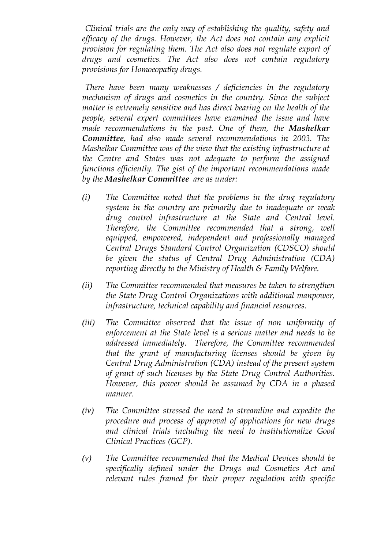*Clinical trials are the only way of establishing the quality, safety and efficacy of the drugs. However, the Act does not contain any explicit provision for regulating them. The Act also does not regulate export of drugs and cosmetics. The Act also does not contain regulatory provisions for Homoeopathy drugs.* 

 *There have been many weaknesses / deficiencies in the regulatory mechanism of drugs and cosmetics in the country. Since the subject matter is extremely sensitive and has direct bearing on the health of the people, several expert committees have examined the issue and have made recommendations in the past. One of them, the Mashelkar Committee, had also made several recommendations in 2003. The Mashelkar Committee was of the view that the existing infrastructure at the Centre and States was not adequate to perform the assigned functions efficiently. The gist of the important recommendations made by the Mashelkar Committee are as under:* 

- *(i) The Committee noted that the problems in the drug regulatory system in the country are primarily due to inadequate or weak drug control infrastructure at the State and Central level. Therefore, the Committee recommended that a strong, well equipped, empowered, independent and professionally managed Central Drugs Standard Control Organization (CDSCO) should be given the status of Central Drug Administration (CDA) reporting directly to the Ministry of Health & Family Welfare.*
- *(ii) The Committee recommended that measures be taken to strengthen the State Drug Control Organizations with additional manpower, infrastructure, technical capability and financial resources.*
- *(iii) The Committee observed that the issue of non uniformity of enforcement at the State level is a serious matter and needs to be addressed immediately. Therefore, the Committee recommended that the grant of manufacturing licenses should be given by Central Drug Administration (CDA) instead of the present system of grant of such licenses by the State Drug Control Authorities. However, this power should be assumed by CDA in a phased manner.*
- *(iv) The Committee stressed the need to streamline and expedite the procedure and process of approval of applications for new drugs and clinical trials including the need to institutionalize Good Clinical Practices (GCP).*
- *(v) The Committee recommended that the Medical Devices should be specifically defined under the Drugs and Cosmetics Act and relevant rules framed for their proper regulation with specific*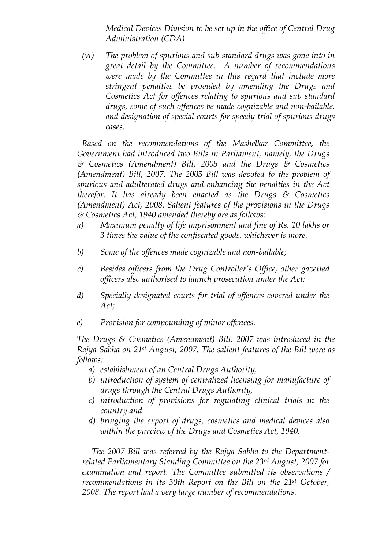*Medical Devices Division to be set up in the office of Central Drug Administration (CDA).* 

*(vi) The problem of spurious and sub standard drugs was gone into in great detail by the Committee. A number of recommendations were made by the Committee in this regard that include more stringent penalties be provided by amending the Drugs and Cosmetics Act for offences relating to spurious and sub standard drugs, some of such offences be made cognizable and non-bailable, and designation of special courts for speedy trial of spurious drugs cases.* 

 *Based on the recommendations of the Mashelkar Committee, the Government had introduced two Bills in Parliament, namely, the Drugs & Cosmetics (Amendment) Bill, 2005 and the Drugs & Cosmetics (Amendment) Bill, 2007. The 2005 Bill was devoted to the problem of spurious and adulterated drugs and enhancing the penalties in the Act therefor. It has already been enacted as the Drugs & Cosmetics (Amendment) Act, 2008. Salient features of the provisions in the Drugs & Cosmetics Act, 1940 amended thereby are as follows:* 

- *a) Maximum penalty of life imprisonment and fine of Rs. 10 lakhs or 3 times the value of the confiscated goods, whichever is more.*
- *b) Some of the offences made cognizable and non-bailable;*
- *c) Besides officers from the Drug Controller's Office, other gazetted officers also authorised to launch prosecution under the Act;*
- *d) Specially designated courts for trial of offences covered under the Act;*
- *e) Provision for compounding of minor offences.*

*The Drugs & Cosmetics (Amendment) Bill, 2007 was introduced in the Rajya Sabha on 21st August, 2007. The salient features of the Bill were as follows:* 

- *a) establishment of an Central Drugs Authority,*
- *b) introduction of system of centralized licensing for manufacture of drugs through the Central Drugs Authority,*
- *c) introduction of provisions for regulating clinical trials in the country and*
- *d) bringing the export of drugs, cosmetics and medical devices also within the purview of the Drugs and Cosmetics Act, 1940.*

*The 2007 Bill was referred by the Rajya Sabha to the Departmentrelated Parliamentary Standing Committee on the 23rd August, 2007 for examination and report. The Committee submitted its observations / recommendations in its 30th Report on the Bill on the 21st October, 2008. The report had a very large number of recommendations.*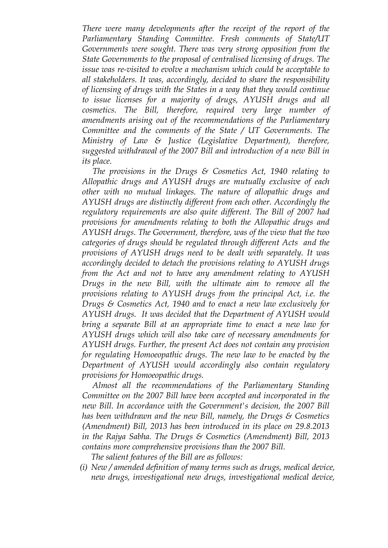*There were many developments after the receipt of the report of the Parliamentary Standing Committee. Fresh comments of State/UT Governments were sought. There was very strong opposition from the State Governments to the proposal of centralised licensing of drugs. The issue was re-visited to evolve a mechanism which could be acceptable to all stakeholders. It was, accordingly, decided to share the responsibility of licensing of drugs with the States in a way that they would continue to issue licenses for a majority of drugs, AYUSH drugs and all cosmetics. The Bill, therefore, required very large number of amendments arising out of the recommendations of the Parliamentary Committee and the comments of the State / UT Governments. The Ministry of Law & Justice (Legislative Department), therefore, suggested withdrawal of the 2007 Bill and introduction of a new Bill in its place.* 

 *The provisions in the Drugs & Cosmetics Act, 1940 relating to Allopathic drugs and AYUSH drugs are mutually exclusive of each other with no mutual linkages. The nature of allopathic drugs and AYUSH drugs are distinctly different from each other. Accordingly the regulatory requirements are also quite different. The Bill of 2007 had provisions for amendments relating to both the Allopathic drugs and AYUSH drugs. The Government, therefore, was of the view that the two categories of drugs should be regulated through different Acts and the provisions of AYUSH drugs need to be dealt with separately. It was accordingly decided to detach the provisions relating to AYUSH drugs from the Act and not to have any amendment relating to AYUSH Drugs in the new Bill, with the ultimate aim to remove all the provisions relating to AYUSH drugs from the principal Act, i.e. the Drugs & Cosmetics Act, 1940 and to enact a new law exclusively for AYUSH drugs. It was decided that the Department of AYUSH would bring a separate Bill at an appropriate time to enact a new law for AYUSH drugs which will also take care of necessary amendments for AYUSH drugs. Further, the present Act does not contain any provision for regulating Homoeopathic drugs. The new law to be enacted by the Department of AYUSH would accordingly also contain regulatory provisions for Homoeopathic drugs.* 

 *Almost all the recommendations of the Parliamentary Standing Committee on the 2007 Bill have been accepted and incorporated in the new Bill. In accordance with the Government's decision, the 2007 Bill has been withdrawn and the new Bill, namely, the Drugs & Cosmetics (Amendment) Bill, 2013 has been introduced in its place on 29.8.2013 in the Rajya Sabha. The Drugs & Cosmetics (Amendment) Bill, 2013 contains more comprehensive provisions than the 2007 Bill.* 

*The salient features of the Bill are as follows:* 

*(i) New / amended definition of many terms such as drugs, medical device, new drugs, investigational new drugs, investigational medical device,*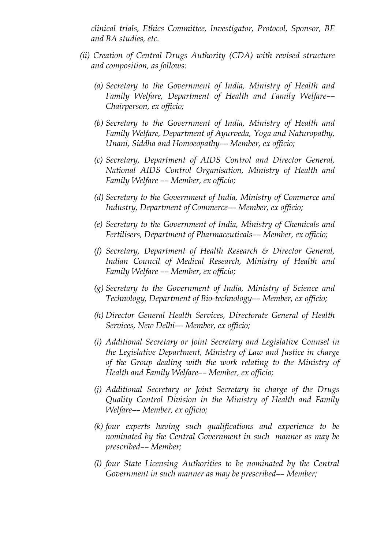*clinical trials, Ethics Committee, Investigator, Protocol, Sponsor, BE and BA studies, etc.* 

- *(ii) Creation of Central Drugs Authority (CDA) with revised structure and composition, as follows:* 
	- *(a) Secretary to the Government of India, Ministry of Health and Family Welfare, Department of Health and Family Welfare–– Chairperson, ex officio;*
	- *(b) Secretary to the Government of India, Ministry of Health and Family Welfare, Department of Ayurveda, Yoga and Naturopathy, Unani, Siddha and Homoeopathy–– Member, ex officio;*
	- *(c) Secretary, Department of AIDS Control and Director General, National AIDS Control Organisation, Ministry of Health and Family Welfare –– Member, ex officio;*
	- *(d) Secretary to the Government of India, Ministry of Commerce and Industry, Department of Commerce–– Member, ex officio;*
	- *(e) Secretary to the Government of India, Ministry of Chemicals and Fertilisers, Department of Pharmaceuticals–– Member, ex officio;*
	- *(f) Secretary, Department of Health Research & Director General, Indian Council of Medical Research, Ministry of Health and Family Welfare –– Member, ex officio;*
	- *(g) Secretary to the Government of India, Ministry of Science and Technology, Department of Bio-technology–– Member, ex officio;*
	- *(h) Director General Health Services, Directorate General of Health Services, New Delhi–– Member, ex officio;*
	- *(i) Additional Secretary or Joint Secretary and Legislative Counsel in the Legislative Department, Ministry of Law and Justice in charge of the Group dealing with the work relating to the Ministry of Health and Family Welfare–– Member, ex officio;*
	- *(j) Additional Secretary or Joint Secretary in charge of the Drugs Quality Control Division in the Ministry of Health and Family Welfare–– Member, ex officio;*
	- *(k) four experts having such qualifications and experience to be nominated by the Central Government in such manner as may be prescribed–– Member;*
	- *(l) four State Licensing Authorities to be nominated by the Central Government in such manner as may be prescribed–– Member;*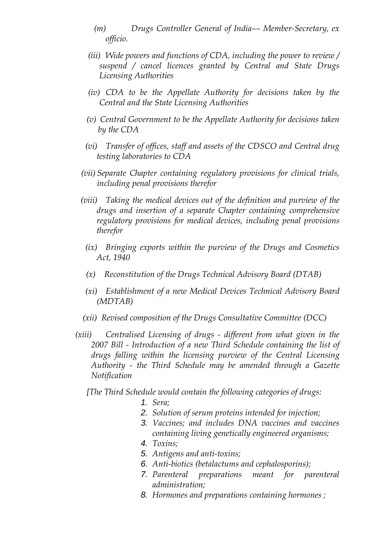- *(m) Drugs Controller General of India–– Member-Secretary, ex officio.*
- *(iii) Wide powers and functions of CDA, including the power to review / suspend / cancel licences granted by Central and State Drugs Licensing Authorities*
- *(iv) CDA to be the Appellate Authority for decisions taken by the Central and the State Licensing Authorities*
- *(v) Central Government to be the Appellate Authority for decisions taken by the CDA*
- *(vi) Transfer of offices, staff and assets of the CDSCO and Central drug testing laboratories to CDA*
- *(vii) Separate Chapter containing regulatory provisions for clinical trials, including penal provisions therefor*
- *(viii) Taking the medical devices out of the definition and purview of the drugs and insertion of a separate Chapter containing comprehensive regulatory provisions for medical devices, including penal provisions therefor* 
	- *(ix) Bringing exports within the purview of the Drugs and Cosmetics Act, 1940*
	- *(x) Reconstitution of the Drugs Technical Advisory Board (DTAB)*
	- *(xi) Establishment of a new Medical Devices Technical Advisory Board (MDTAB)*
- *(xii) Revised composition of the Drugs Consultative Committee (DCC)*
- *(xiii) Centralised Licensing of drugs different from what given in the 2007 Bill - Introduction of a new Third Schedule containing the list of drugs falling within the licensing purview of the Central Licensing Authority - the Third Schedule may be amended through a Gazette Notification*

*[The Third Schedule would contain the following categories of drugs:* 

- 1. *Sera;*
- 2. *Solution of serum proteins intended for injection;*
- 3. *Vaccines; and includes DNA vaccines and vaccines containing living genetically engineered organisms;*
- 4. *Toxins;*
- 5. *Antigens and anti-toxins;*
- 6. *Anti-biotics (betalactums and cephalosporins);*
- 7. *Parenteral preparations meant for parenteral administration;*
- 8. *Hormones and preparations containing hormones ;*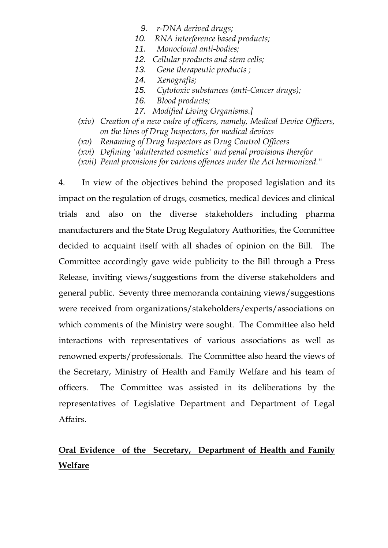- 9. *r-DNA derived drugs;*
- 10. *RNA interference based products;*
- 11. *Monoclonal anti-bodies;*
- 12. *Cellular products and stem cells;*
- 13. *Gene therapeutic products ;*
- 14. *Xenografts;*
- 15. *Cytotoxic substances (anti-Cancer drugs);*
- 16. *Blood products;*
- 17. *Modified Living Organisms.]*
- *(xiv) Creation of a new cadre of officers, namely, Medical Device Officers, on the lines of Drug Inspectors, for medical devices*
- *(xv) Renaming of Drug Inspectors as Drug Control Officers*
- *(xvi) Defining 'adulterated cosmetics' and penal provisions therefor*
- *(xvii) Penal provisions for various offences under the Act harmonized."*

4. In view of the objectives behind the proposed legislation and its impact on the regulation of drugs, cosmetics, medical devices and clinical trials and also on the diverse stakeholders including pharma manufacturers and the State Drug Regulatory Authorities, the Committee decided to acquaint itself with all shades of opinion on the Bill. The Committee accordingly gave wide publicity to the Bill through a Press Release, inviting views/suggestions from the diverse stakeholders and general public. Seventy three memoranda containing views/suggestions were received from organizations/stakeholders/experts/associations on which comments of the Ministry were sought. The Committee also held interactions with representatives of various associations as well as renowned experts/professionals. The Committee also heard the views of the Secretary, Ministry of Health and Family Welfare and his team of officers. The Committee was assisted in its deliberations by the representatives of Legislative Department and Department of Legal Affairs.

# **Oral Evidence of the Secretary, Department of Health and Family Welfare**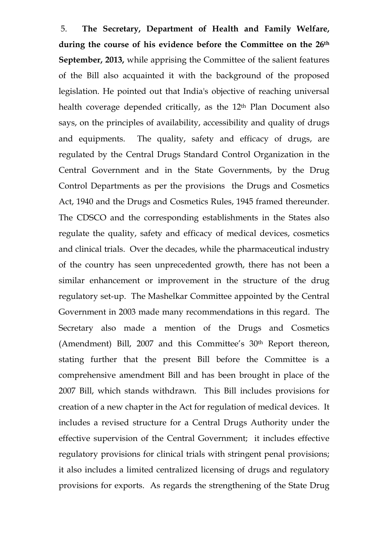5. **The Secretary, Department of Health and Family Welfare, during the course of his evidence before the Committee on the 26th September, 2013,** while apprising the Committee of the salient features of the Bill also acquainted it with the background of the proposed legislation. He pointed out that India's objective of reaching universal health coverage depended critically, as the 12<sup>th</sup> Plan Document also says, on the principles of availability, accessibility and quality of drugs and equipments. The quality, safety and efficacy of drugs, are regulated by the Central Drugs Standard Control Organization in the Central Government and in the State Governments, by the Drug Control Departments as per the provisions the Drugs and Cosmetics Act, 1940 and the Drugs and Cosmetics Rules, 1945 framed thereunder. The CDSCO and the corresponding establishments in the States also regulate the quality, safety and efficacy of medical devices, cosmetics and clinical trials. Over the decades, while the pharmaceutical industry of the country has seen unprecedented growth, there has not been a similar enhancement or improvement in the structure of the drug regulatory set-up. The Mashelkar Committee appointed by the Central Government in 2003 made many recommendations in this regard. The Secretary also made a mention of the Drugs and Cosmetics (Amendment) Bill, 2007 and this Committee's 30<sup>th</sup> Report thereon, stating further that the present Bill before the Committee is a comprehensive amendment Bill and has been brought in place of the 2007 Bill, which stands withdrawn. This Bill includes provisions for creation of a new chapter in the Act for regulation of medical devices. It includes a revised structure for a Central Drugs Authority under the effective supervision of the Central Government; it includes effective regulatory provisions for clinical trials with stringent penal provisions; it also includes a limited centralized licensing of drugs and regulatory provisions for exports. As regards the strengthening of the State Drug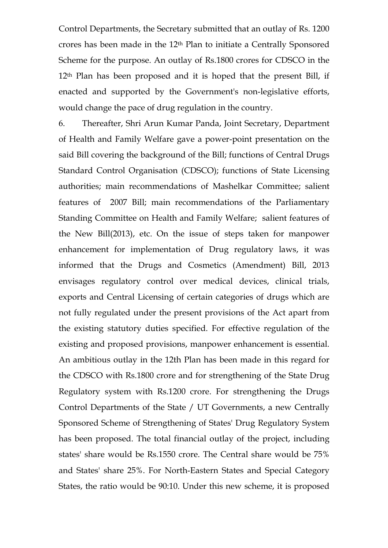Control Departments, the Secretary submitted that an outlay of Rs. 1200 crores has been made in the 12th Plan to initiate a Centrally Sponsored Scheme for the purpose. An outlay of Rs.1800 crores for CDSCO in the 12th Plan has been proposed and it is hoped that the present Bill, if enacted and supported by the Government's non-legislative efforts, would change the pace of drug regulation in the country.

6. Thereafter, Shri Arun Kumar Panda, Joint Secretary, Department of Health and Family Welfare gave a power-point presentation on the said Bill covering the background of the Bill; functions of Central Drugs Standard Control Organisation (CDSCO); functions of State Licensing authorities; main recommendations of Mashelkar Committee; salient features of 2007 Bill; main recommendations of the Parliamentary Standing Committee on Health and Family Welfare; salient features of the New Bill(2013), etc. On the issue of steps taken for manpower enhancement for implementation of Drug regulatory laws, it was informed that the Drugs and Cosmetics (Amendment) Bill, 2013 envisages regulatory control over medical devices, clinical trials, exports and Central Licensing of certain categories of drugs which are not fully regulated under the present provisions of the Act apart from the existing statutory duties specified. For effective regulation of the existing and proposed provisions, manpower enhancement is essential. An ambitious outlay in the 12th Plan has been made in this regard for the CDSCO with Rs.1800 crore and for strengthening of the State Drug Regulatory system with Rs.1200 crore. For strengthening the Drugs Control Departments of the State / UT Governments, a new Centrally Sponsored Scheme of Strengthening of States' Drug Regulatory System has been proposed. The total financial outlay of the project, including states' share would be Rs.1550 crore. The Central share would be 75% and States' share 25%. For North-Eastern States and Special Category States, the ratio would be 90:10. Under this new scheme, it is proposed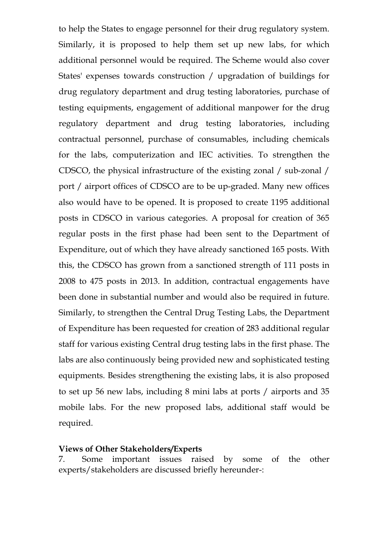to help the States to engage personnel for their drug regulatory system. Similarly, it is proposed to help them set up new labs, for which additional personnel would be required. The Scheme would also cover States' expenses towards construction / upgradation of buildings for drug regulatory department and drug testing laboratories, purchase of testing equipments, engagement of additional manpower for the drug regulatory department and drug testing laboratories, including contractual personnel, purchase of consumables, including chemicals for the labs, computerization and IEC activities. To strengthen the CDSCO, the physical infrastructure of the existing zonal / sub-zonal / port / airport offices of CDSCO are to be up-graded. Many new offices also would have to be opened. It is proposed to create 1195 additional posts in CDSCO in various categories. A proposal for creation of 365 regular posts in the first phase had been sent to the Department of Expenditure, out of which they have already sanctioned 165 posts. With this, the CDSCO has grown from a sanctioned strength of 111 posts in 2008 to 475 posts in 2013. In addition, contractual engagements have been done in substantial number and would also be required in future. Similarly, to strengthen the Central Drug Testing Labs, the Department of Expenditure has been requested for creation of 283 additional regular staff for various existing Central drug testing labs in the first phase. The labs are also continuously being provided new and sophisticated testing equipments. Besides strengthening the existing labs, it is also proposed to set up 56 new labs, including 8 mini labs at ports / airports and 35 mobile labs. For the new proposed labs, additional staff would be required.

#### **Views of Other Stakeholders/Experts**

7. Some important issues raised by some of the other experts/stakeholders are discussed briefly hereunder-: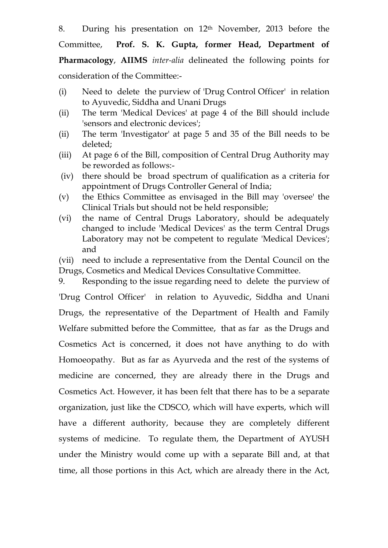8. During his presentation on 12th November, 2013 before the

Committee, **Prof. S. K. Gupta, former Head, Department of Pharmacology**, **AIIMS** *inter-alia* delineated the following points for consideration of the Committee:-

- (i) Need to delete the purview of 'Drug Control Officer' in relation to Ayuvedic, Siddha and Unani Drugs
- (ii) The term 'Medical Devices' at page 4 of the Bill should include 'sensors and electronic devices';
- (ii) The term 'Investigator' at page 5 and 35 of the Bill needs to be deleted;
- (iii) At page 6 of the Bill, composition of Central Drug Authority may be reworded as follows:-
- (iv) there should be broad spectrum of qualification as a criteria for appointment of Drugs Controller General of India;
- (v) the Ethics Committee as envisaged in the Bill may 'oversee' the Clinical Trials but should not be held responsible;
- (vi) the name of Central Drugs Laboratory, should be adequately changed to include 'Medical Devices' as the term Central Drugs Laboratory may not be competent to regulate 'Medical Devices'; and
- (vii) need to include a representative from the Dental Council on the Drugs, Cosmetics and Medical Devices Consultative Committee.

9. Responding to the issue regarding need to delete the purview of 'Drug Control Officer' in relation to Ayuvedic, Siddha and Unani Drugs, the representative of the Department of Health and Family Welfare submitted before the Committee, that as far as the Drugs and Cosmetics Act is concerned, it does not have anything to do with Homoeopathy. But as far as Ayurveda and the rest of the systems of medicine are concerned, they are already there in the Drugs and Cosmetics Act. However, it has been felt that there has to be a separate organization, just like the CDSCO, which will have experts, which will have a different authority, because they are completely different systems of medicine. To regulate them, the Department of AYUSH under the Ministry would come up with a separate Bill and, at that time, all those portions in this Act, which are already there in the Act,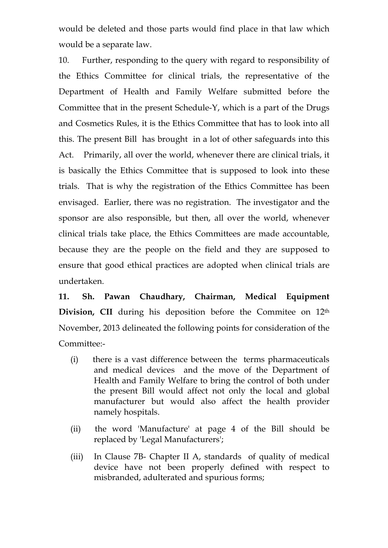would be deleted and those parts would find place in that law which would be a separate law.

10. Further, responding to the query with regard to responsibility of the Ethics Committee for clinical trials, the representative of the Department of Health and Family Welfare submitted before the Committee that in the present Schedule-Y, which is a part of the Drugs and Cosmetics Rules, it is the Ethics Committee that has to look into all this. The present Bill has brought in a lot of other safeguards into this Act. Primarily, all over the world, whenever there are clinical trials, it is basically the Ethics Committee that is supposed to look into these trials. That is why the registration of the Ethics Committee has been envisaged. Earlier, there was no registration. The investigator and the sponsor are also responsible, but then, all over the world, whenever clinical trials take place, the Ethics Committees are made accountable, because they are the people on the field and they are supposed to ensure that good ethical practices are adopted when clinical trials are undertaken.

**11. Sh. Pawan Chaudhary, Chairman, Medical Equipment**  Division, CII during his deposition before the Commitee on 12<sup>th</sup> November, 2013 delineated the following points for consideration of the Committee:-

- (i) there is a vast difference between the terms pharmaceuticals and medical devices and the move of the Department of Health and Family Welfare to bring the control of both under the present Bill would affect not only the local and global manufacturer but would also affect the health provider namely hospitals.
- (ii) the word 'Manufacture' at page 4 of the Bill should be replaced by 'Legal Manufacturers';
- (iii) In Clause 7B- Chapter II A, standards of quality of medical device have not been properly defined with respect to misbranded, adulterated and spurious forms;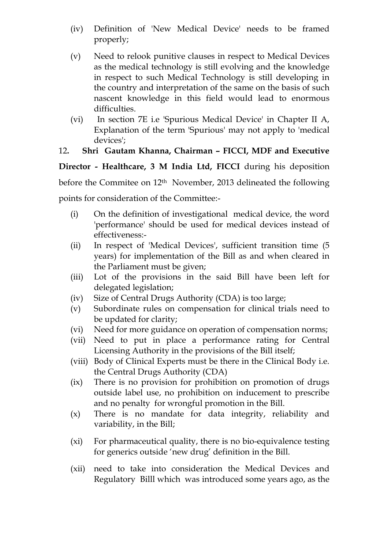- (iv) Definition of 'New Medical Device' needs to be framed properly;
- (v) Need to relook punitive clauses in respect to Medical Devices as the medical technology is still evolving and the knowledge in respect to such Medical Technology is still developing in the country and interpretation of the same on the basis of such nascent knowledge in this field would lead to enormous difficulties.
- (vi) In section 7E i.e 'Spurious Medical Device' in Chapter II A, Explanation of the term 'Spurious' may not apply to 'medical devices';

## 12**. Shri Gautam Khanna, Chairman – FICCI, MDF and Executive**

**Director - Healthcare, 3 M India Ltd, FICCI** during his deposition

before the Commitee on  $12<sup>th</sup>$  November, 2013 delineated the following

points for consideration of the Committee:-

- (i) On the definition of investigational medical device, the word 'performance' should be used for medical devices instead of effectiveness:-
- (ii) In respect of 'Medical Devices', sufficient transition time (5 years) for implementation of the Bill as and when cleared in the Parliament must be given;
- (iii) Lot of the provisions in the said Bill have been left for delegated legislation;
- (iv) Size of Central Drugs Authority (CDA) is too large;
- (v) Subordinate rules on compensation for clinical trials need to be updated for clarity;
- (vi) Need for more guidance on operation of compensation norms;
- (vii) Need to put in place a performance rating for Central Licensing Authority in the provisions of the Bill itself;
- (viii) Body of Clinical Experts must be there in the Clinical Body i.e. the Central Drugs Authority (CDA)
- (ix) There is no provision for prohibition on promotion of drugs outside label use, no prohibition on inducement to prescribe and no penalty for wrongful promotion in the Bill.
- (x) There is no mandate for data integrity, reliability and variability, in the Bill;
- (xi) For pharmaceutical quality, there is no bio-equivalence testing for generics outside 'new drug' definition in the Bill.
- (xii) need to take into consideration the Medical Devices and Regulatory Billl which was introduced some years ago, as the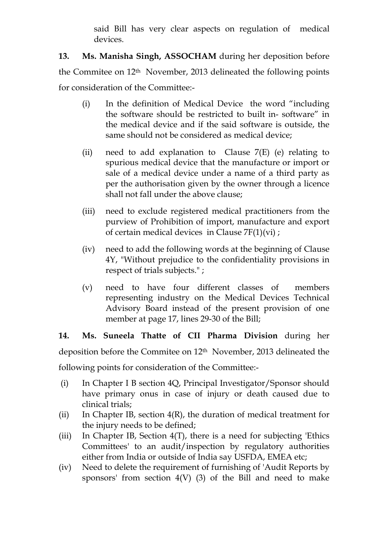said Bill has very clear aspects on regulation of medical devices.

**13. Ms. Manisha Singh, ASSOCHAM** during her deposition before the Commitee on 12th November, 2013 delineated the following points for consideration of the Committee:-

- (i) In the definition of Medical Device the word "including the software should be restricted to built in- software" in the medical device and if the said software is outside, the same should not be considered as medical device;
- (ii) need to add explanation to Clause  $7(E)$  (e) relating to spurious medical device that the manufacture or import or sale of a medical device under a name of a third party as per the authorisation given by the owner through a licence shall not fall under the above clause;
- (iii) need to exclude registered medical practitioners from the purview of Prohibition of import, manufacture and export of certain medical devices in Clause 7F(1)(vi) ;
- (iv) need to add the following words at the beginning of Clause 4Y, "Without prejudice to the confidentiality provisions in respect of trials subjects." ;
- (v) need to have four different classes of members representing industry on the Medical Devices Technical Advisory Board instead of the present provision of one member at page 17, lines 29-30 of the Bill;

**14. Ms. Suneela Thatte of CII Pharma Division** during her deposition before the Commitee on 12th November, 2013 delineated the following points for consideration of the Committee:-

- (i) In Chapter I B section 4Q, Principal Investigator/Sponsor should have primary onus in case of injury or death caused due to clinical trials;
- (ii) In Chapter IB, section  $4(R)$ , the duration of medical treatment for the injury needs to be defined;
- (iii) In Chapter IB, Section  $4(T)$ , there is a need for subjecting Ethics Committees' to an audit/inspection by regulatory authorities either from India or outside of India say USFDA, EMEA etc;
- (iv) Need to delete the requirement of furnishing of 'Audit Reports by sponsors' from section  $4(V)$  (3) of the Bill and need to make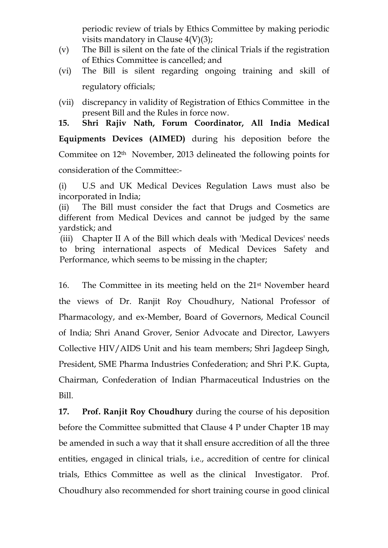periodic review of trials by Ethics Committee by making periodic visits mandatory in Clause  $4(V)(3)$ ;

- (v) The Bill is silent on the fate of the clinical Trials if the registration of Ethics Committee is cancelled; and
- (vi) The Bill is silent regarding ongoing training and skill of regulatory officials;
- (vii) discrepancy in validity of Registration of Ethics Committee in the present Bill and the Rules in force now.
- **15. Shri Rajiv Nath, Forum Coordinator, All India Medical**

**Equipments Devices (AIMED)** during his deposition before the Commitee on 12th November, 2013 delineated the following points for consideration of the Committee:-

(i) U.S and UK Medical Devices Regulation Laws must also be incorporated in India;

(ii) The Bill must consider the fact that Drugs and Cosmetics are different from Medical Devices and cannot be judged by the same yardstick; and

(iii) Chapter II A of the Bill which deals with 'Medical Devices' needs to bring international aspects of Medical Devices Safety and Performance, which seems to be missing in the chapter;

16. The Committee in its meeting held on the 21st November heard the views of Dr. Ranjit Roy Choudhury, National Professor of Pharmacology, and ex-Member, Board of Governors, Medical Council of India; Shri Anand Grover, Senior Advocate and Director, Lawyers Collective HIV/AIDS Unit and his team members; Shri Jagdeep Singh, President, SME Pharma Industries Confederation; and Shri P.K. Gupta, Chairman, Confederation of Indian Pharmaceutical Industries on the Bill.

**17. Prof. Ranjit Roy Choudhury** during the course of his deposition before the Committee submitted that Clause 4 P under Chapter 1B may be amended in such a way that it shall ensure accredition of all the three entities, engaged in clinical trials, i.e., accredition of centre for clinical trials, Ethics Committee as well as the clinical Investigator. Prof. Choudhury also recommended for short training course in good clinical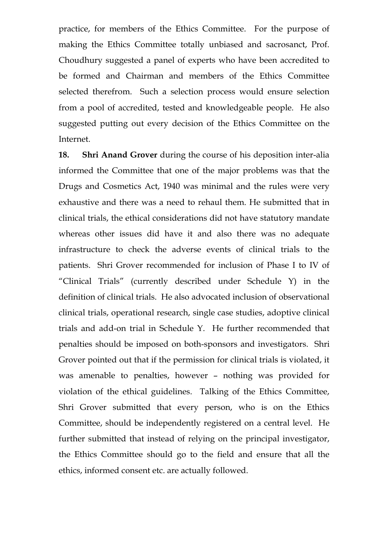practice, for members of the Ethics Committee. For the purpose of making the Ethics Committee totally unbiased and sacrosanct, Prof. Choudhury suggested a panel of experts who have been accredited to be formed and Chairman and members of the Ethics Committee selected therefrom. Such a selection process would ensure selection from a pool of accredited, tested and knowledgeable people. He also suggested putting out every decision of the Ethics Committee on the Internet.

**18. Shri Anand Grover** during the course of his deposition inter-alia informed the Committee that one of the major problems was that the Drugs and Cosmetics Act, 1940 was minimal and the rules were very exhaustive and there was a need to rehaul them. He submitted that in clinical trials, the ethical considerations did not have statutory mandate whereas other issues did have it and also there was no adequate infrastructure to check the adverse events of clinical trials to the patients. Shri Grover recommended for inclusion of Phase I to IV of "Clinical Trials" (currently described under Schedule Y) in the definition of clinical trials. He also advocated inclusion of observational clinical trials, operational research, single case studies, adoptive clinical trials and add-on trial in Schedule Y. He further recommended that penalties should be imposed on both-sponsors and investigators. Shri Grover pointed out that if the permission for clinical trials is violated, it was amenable to penalties, however – nothing was provided for violation of the ethical guidelines. Talking of the Ethics Committee, Shri Grover submitted that every person, who is on the Ethics Committee, should be independently registered on a central level. He further submitted that instead of relying on the principal investigator, the Ethics Committee should go to the field and ensure that all the ethics, informed consent etc. are actually followed.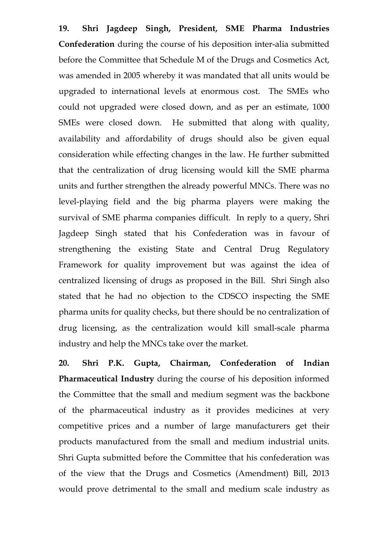**19. Shri Jagdeep Singh, President, SME Pharma Industries Confederation** during the course of his deposition inter-alia submitted before the Committee that Schedule M of the Drugs and Cosmetics Act, was amended in 2005 whereby it was mandated that all units would be upgraded to international levels at enormous cost. The SMEs who could not upgraded were closed down, and as per an estimate, 1000 SMEs were closed down. He submitted that along with quality, availability and affordability of drugs should also be given equal consideration while effecting changes in the law. He further submitted that the centralization of drug licensing would kill the SME pharma units and further strengthen the already powerful MNCs. There was no level-playing field and the big pharma players were making the survival of SME pharma companies difficult. In reply to a query, Shri Jagdeep Singh stated that his Confederation was in favour of strengthening the existing State and Central Drug Regulatory Framework for quality improvement but was against the idea of centralized licensing of drugs as proposed in the Bill. Shri Singh also stated that he had no objection to the CDSCO inspecting the SME pharma units for quality checks, but there should be no centralization of drug licensing, as the centralization would kill small-scale pharma industry and help the MNCs take over the market.

**20. Shri P.K. Gupta, Chairman, Confederation of Indian Pharmaceutical Industry** during the course of his deposition informed the Committee that the small and medium segment was the backbone of the pharmaceutical industry as it provides medicines at very competitive prices and a number of large manufacturers get their products manufactured from the small and medium industrial units. Shri Gupta submitted before the Committee that his confederation was of the view that the Drugs and Cosmetics (Amendment) Bill, 2013 would prove detrimental to the small and medium scale industry as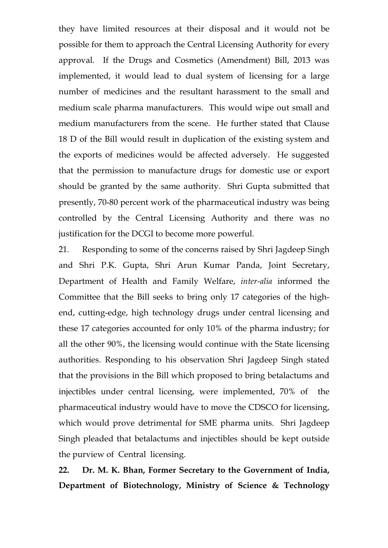they have limited resources at their disposal and it would not be possible for them to approach the Central Licensing Authority for every approval. If the Drugs and Cosmetics (Amendment) Bill, 2013 was implemented, it would lead to dual system of licensing for a large number of medicines and the resultant harassment to the small and medium scale pharma manufacturers. This would wipe out small and medium manufacturers from the scene. He further stated that Clause 18 D of the Bill would result in duplication of the existing system and the exports of medicines would be affected adversely. He suggested that the permission to manufacture drugs for domestic use or export should be granted by the same authority. Shri Gupta submitted that presently, 70-80 percent work of the pharmaceutical industry was being controlled by the Central Licensing Authority and there was no justification for the DCGI to become more powerful.

21. Responding to some of the concerns raised by Shri Jagdeep Singh and Shri P.K. Gupta, Shri Arun Kumar Panda, Joint Secretary, Department of Health and Family Welfare, *inter-alia* informed the Committee that the Bill seeks to bring only 17 categories of the highend, cutting-edge, high technology drugs under central licensing and these 17 categories accounted for only 10% of the pharma industry; for all the other 90%, the licensing would continue with the State licensing authorities. Responding to his observation Shri Jagdeep Singh stated that the provisions in the Bill which proposed to bring betalactums and injectibles under central licensing, were implemented, 70% of the pharmaceutical industry would have to move the CDSCO for licensing, which would prove detrimental for SME pharma units. Shri Jagdeep Singh pleaded that betalactums and injectibles should be kept outside the purview of Central licensing.

**22. Dr. M. K. Bhan, Former Secretary to the Government of India, Department of Biotechnology, Ministry of Science & Technology**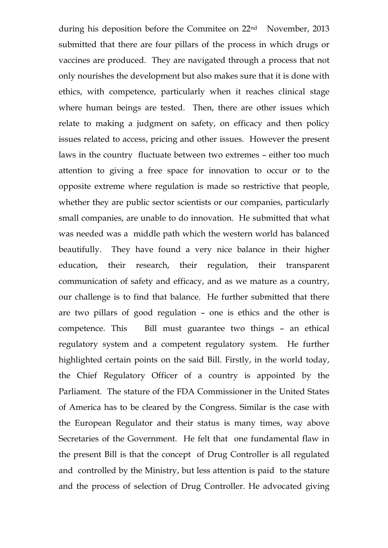during his deposition before the Commitee on 22nd November, 2013 submitted that there are four pillars of the process in which drugs or vaccines are produced. They are navigated through a process that not only nourishes the development but also makes sure that it is done with ethics, with competence, particularly when it reaches clinical stage where human beings are tested. Then, there are other issues which relate to making a judgment on safety, on efficacy and then policy issues related to access, pricing and other issues. However the present laws in the country fluctuate between two extremes – either too much attention to giving a free space for innovation to occur or to the opposite extreme where regulation is made so restrictive that people, whether they are public sector scientists or our companies, particularly small companies, are unable to do innovation. He submitted that what was needed was a middle path which the western world has balanced beautifully. They have found a very nice balance in their higher education, their research, their regulation, their transparent communication of safety and efficacy, and as we mature as a country, our challenge is to find that balance. He further submitted that there are two pillars of good regulation – one is ethics and the other is competence. This Bill must guarantee two things – an ethical regulatory system and a competent regulatory system. He further highlighted certain points on the said Bill. Firstly, in the world today, the Chief Regulatory Officer of a country is appointed by the Parliament. The stature of the FDA Commissioner in the United States of America has to be cleared by the Congress. Similar is the case with the European Regulator and their status is many times, way above Secretaries of the Government. He felt that one fundamental flaw in the present Bill is that the concept of Drug Controller is all regulated and controlled by the Ministry, but less attention is paid to the stature and the process of selection of Drug Controller. He advocated giving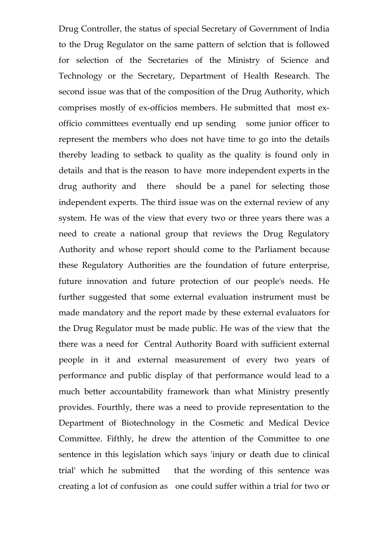Drug Controller, the status of special Secretary of Government of India to the Drug Regulator on the same pattern of selction that is followed for selection of the Secretaries of the Ministry of Science and Technology or the Secretary, Department of Health Research. The second issue was that of the composition of the Drug Authority, which comprises mostly of ex-officios members. He submitted that most exofficio committees eventually end up sending some junior officer to represent the members who does not have time to go into the details thereby leading to setback to quality as the quality is found only in details and that is the reason to have more independent experts in the drug authority and there should be a panel for selecting those independent experts. The third issue was on the external review of any system. He was of the view that every two or three years there was a need to create a national group that reviews the Drug Regulatory Authority and whose report should come to the Parliament because these Regulatory Authorities are the foundation of future enterprise, future innovation and future protection of our people's needs. He further suggested that some external evaluation instrument must be made mandatory and the report made by these external evaluators for the Drug Regulator must be made public. He was of the view that the there was a need for Central Authority Board with sufficient external people in it and external measurement of every two years of performance and public display of that performance would lead to a much better accountability framework than what Ministry presently provides. Fourthly, there was a need to provide representation to the Department of Biotechnology in the Cosmetic and Medical Device Committee. Fifthly, he drew the attention of the Committee to one sentence in this legislation which says 'injury or death due to clinical trial' which he submitted that the wording of this sentence was creating a lot of confusion as one could suffer within a trial for two or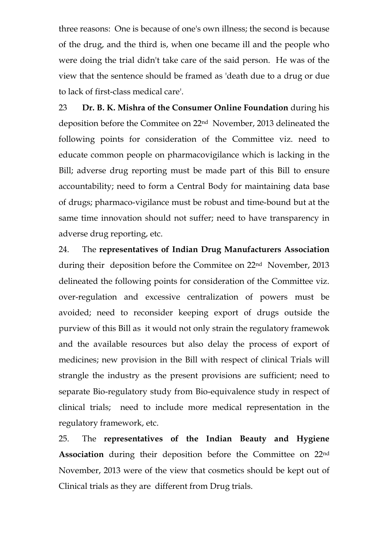three reasons: One is because of one's own illness; the second is because of the drug, and the third is, when one became ill and the people who were doing the trial didn't take care of the said person. He was of the view that the sentence should be framed as 'death due to a drug or due to lack of first-class medical care'.

23 **Dr. B. K. Mishra of the Consumer Online Foundation** during his deposition before the Commitee on 22nd November, 2013 delineated the following points for consideration of the Committee viz. need to educate common people on pharmacovigilance which is lacking in the Bill; adverse drug reporting must be made part of this Bill to ensure accountability; need to form a Central Body for maintaining data base of drugs; pharmaco-vigilance must be robust and time-bound but at the same time innovation should not suffer; need to have transparency in adverse drug reporting, etc.

24. The **representatives of Indian Drug Manufacturers Association** during their deposition before the Commitee on 22nd November, 2013 delineated the following points for consideration of the Committee viz. over-regulation and excessive centralization of powers must be avoided; need to reconsider keeping export of drugs outside the purview of this Bill as it would not only strain the regulatory framewok and the available resources but also delay the process of export of medicines; new provision in the Bill with respect of clinical Trials will strangle the industry as the present provisions are sufficient; need to separate Bio-regulatory study from Bio-equivalence study in respect of clinical trials; need to include more medical representation in the regulatory framework, etc.

25. The **representatives of the Indian Beauty and Hygiene Association** during their deposition before the Committee on 22nd November, 2013 were of the view that cosmetics should be kept out of Clinical trials as they are different from Drug trials.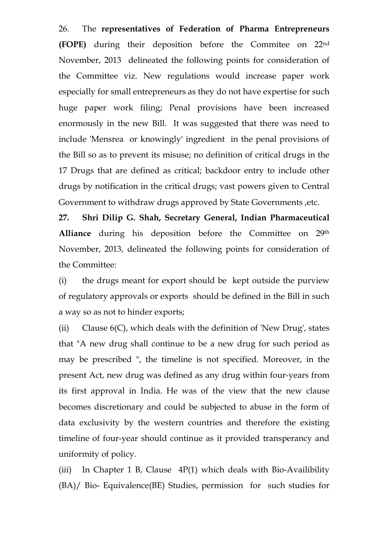26. The **representatives of Federation of Pharma Entrepreneurs (FOPE)** during their deposition before the Commitee on 22nd November, 2013 delineated the following points for consideration of the Committee viz. New regulations would increase paper work especially for small entrepreneurs as they do not have expertise for such huge paper work filing; Penal provisions have been increased enormously in the new Bill. It was suggested that there was need to include 'Mensrea or knowingly' ingredient in the penal provisions of the Bill so as to prevent its misuse; no definition of critical drugs in the 17 Drugs that are defined as critical; backdoor entry to include other drugs by notification in the critical drugs; vast powers given to Central Government to withdraw drugs approved by State Governments ,etc.

**27. Shri Dilip G. Shah, Secretary General, Indian Pharmaceutical Alliance** during his deposition before the Committee on 29th November, 2013, delineated the following points for consideration of the Committee:

(i) the drugs meant for export should be kept outside the purview of regulatory approvals or exports should be defined in the Bill in such a way so as not to hinder exports;

(ii) Clause  $6(C)$ , which deals with the definition of 'New Drug', states that "A new drug shall continue to be a new drug for such period as may be prescribed ", the timeline is not specified. Moreover, in the present Act, new drug was defined as any drug within four-years from its first approval in India. He was of the view that the new clause becomes discretionary and could be subjected to abuse in the form of data exclusivity by the western countries and therefore the existing timeline of four-year should continue as it provided transperancy and uniformity of policy.

(iii) In Chapter 1 B, Clause 4P(1) which deals with Bio-Availibility (BA)/ Bio- Equivalence(BE) Studies, permission for such studies for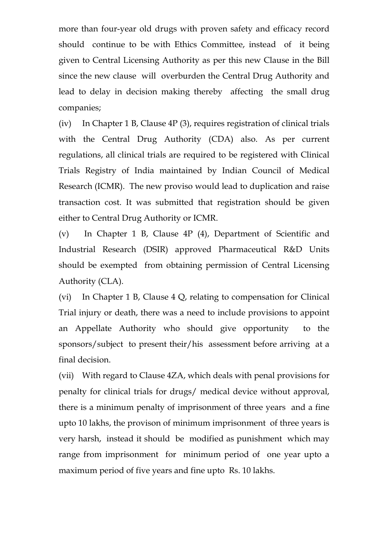more than four-year old drugs with proven safety and efficacy record should continue to be with Ethics Committee, instead of it being given to Central Licensing Authority as per this new Clause in the Bill since the new clause will overburden the Central Drug Authority and lead to delay in decision making thereby affecting the small drug companies;

(iv) In Chapter 1 B, Clause 4P (3), requires registration of clinical trials with the Central Drug Authority (CDA) also. As per current regulations, all clinical trials are required to be registered with Clinical Trials Registry of India maintained by Indian Council of Medical Research (ICMR). The new proviso would lead to duplication and raise transaction cost. It was submitted that registration should be given either to Central Drug Authority or ICMR.

(v) In Chapter 1 B, Clause 4P (4), Department of Scientific and Industrial Research (DSIR) approved Pharmaceutical R&D Units should be exempted from obtaining permission of Central Licensing Authority (CLA).

(vi) In Chapter 1 B, Clause 4 Q, relating to compensation for Clinical Trial injury or death, there was a need to include provisions to appoint an Appellate Authority who should give opportunity to the sponsors/subject to present their/his assessment before arriving at a final decision.

(vii) With regard to Clause 4ZA, which deals with penal provisions for penalty for clinical trials for drugs/ medical device without approval, there is a minimum penalty of imprisonment of three years and a fine upto 10 lakhs, the provison of minimum imprisonment of three years is very harsh, instead it should be modified as punishment which may range from imprisonment for minimum period of one year upto a maximum period of five years and fine upto Rs. 10 lakhs.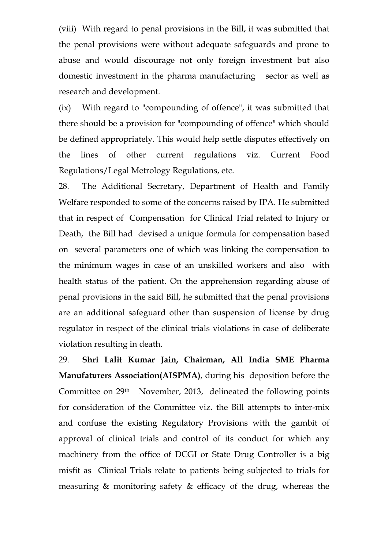(viii) With regard to penal provisions in the Bill, it was submitted that the penal provisions were without adequate safeguards and prone to abuse and would discourage not only foreign investment but also domestic investment in the pharma manufacturing sector as well as research and development.

(ix) With regard to "compounding of offence", it was submitted that there should be a provision for "compounding of offence" which should be defined appropriately. This would help settle disputes effectively on the lines of other current regulations viz. Current Food Regulations/Legal Metrology Regulations, etc.

28. The Additional Secretary, Department of Health and Family Welfare responded to some of the concerns raised by IPA. He submitted that in respect of Compensation for Clinical Trial related to Injury or Death, the Bill had devised a unique formula for compensation based on several parameters one of which was linking the compensation to the minimum wages in case of an unskilled workers and also with health status of the patient. On the apprehension regarding abuse of penal provisions in the said Bill, he submitted that the penal provisions are an additional safeguard other than suspension of license by drug regulator in respect of the clinical trials violations in case of deliberate violation resulting in death.

29. **Shri Lalit Kumar Jain, Chairman, All India SME Pharma Manufaturers Association(AISPMA)**, during his deposition before the Committee on 29<sup>th</sup> November, 2013, delineated the following points for consideration of the Committee viz. the Bill attempts to inter-mix and confuse the existing Regulatory Provisions with the gambit of approval of clinical trials and control of its conduct for which any machinery from the office of DCGI or State Drug Controller is a big misfit as Clinical Trials relate to patients being subjected to trials for measuring & monitoring safety & efficacy of the drug, whereas the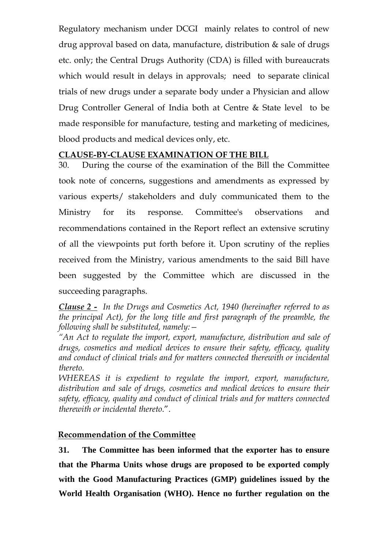Regulatory mechanism under DCGI mainly relates to control of new drug approval based on data, manufacture, distribution & sale of drugs etc. only; the Central Drugs Authority (CDA) is filled with bureaucrats which would result in delays in approvals; need to separate clinical trials of new drugs under a separate body under a Physician and allow Drug Controller General of India both at Centre & State level to be made responsible for manufacture, testing and marketing of medicines, blood products and medical devices only, etc.

#### **CLAUSE-BY-CLAUSE EXAMINATION OF THE BILL**

30. During the course of the examination of the Bill the Committee took note of concerns, suggestions and amendments as expressed by various experts/ stakeholders and duly communicated them to the Ministry for its response. Committee's observations and recommendations contained in the Report reflect an extensive scrutiny of all the viewpoints put forth before it. Upon scrutiny of the replies received from the Ministry, various amendments to the said Bill have been suggested by the Committee which are discussed in the succeeding paragraphs.

*Clause 2 - In the Drugs and Cosmetics Act, 1940 (hereinafter referred to as the principal Act), for the long title and first paragraph of the preamble, the following shall be substituted, namely:—* 

*"An Act to regulate the import, export, manufacture, distribution and sale of drugs, cosmetics and medical devices to ensure their safety, efficacy, quality and conduct of clinical trials and for matters connected therewith or incidental thereto.* 

*WHEREAS it is expedient to regulate the import, export, manufacture, distribution and sale of drugs, cosmetics and medical devices to ensure their safety, efficacy, quality and conduct of clinical trials and for matters connected therewith or incidental thereto*.".

## **Recommendation of the Committee**

**31. The Committee has been informed that the exporter has to ensure that the Pharma Units whose drugs are proposed to be exported comply with the Good Manufacturing Practices (GMP) guidelines issued by the World Health Organisation (WHO). Hence no further regulation on the**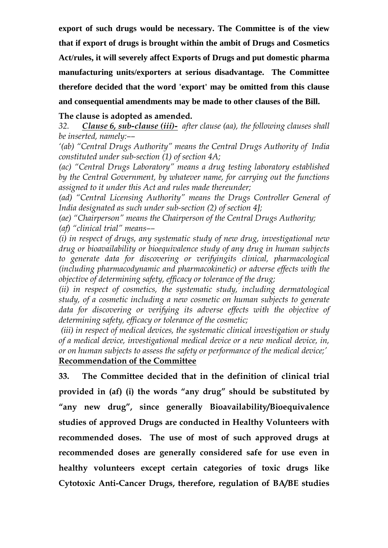**export of such drugs would be necessary. The Committee is of the view that if export of drugs is brought within the ambit of Drugs and Cosmetics Act/rules, it will severely affect Exports of Drugs and put domestic pharma manufacturing units/exporters at serious disadvantage. The Committee therefore decided that the word 'export' may be omitted from this clause and consequential amendments may be made to other clauses of the Bill.** 

#### **The clause is adopted as amended.**

*32. Clause 6, sub-clause (iii)- after clause (aa), the following clauses shall be inserted, namely:––* 

*'(ab) "Central Drugs Authority" means the Central Drugs Authority of India constituted under sub-section (1) of section 4A;* 

*(ac) "Central Drugs Laboratory" means a drug testing laboratory established by the Central Government, by whatever name, for carrying out the functions assigned to it under this Act and rules made thereunder;* 

*(ad) "Central Licensing Authority" means the Drugs Controller General of India designated as such under sub-section (2) of section 4J;* 

*(ae) "Chairperson" means the Chairperson of the Central Drugs Authority; (af) "clinical trial" means––* 

*(i) in respect of drugs, any systematic study of new drug, investigational new drug or bioavailability or bioequivalence study of any drug in human subjects to generate data for discovering or verifyingits clinical, pharmacological (including pharmacodynamic and pharmacokinetic) or adverse effects with the objective of determining safety, efficacy or tolerance of the drug;* 

*(ii) in respect of cosmetics, the systematic study, including dermatological study, of a cosmetic including a new cosmetic on human subjects to generate data for discovering or verifying its adverse effects with the objective of determining safety, efficacy or tolerance of the cosmetic;* 

 *(iii) in respect of medical devices, the systematic clinical investigation or study of a medical device, investigational medical device or a new medical device, in, or on human subjects to assess the safety or performance of the medical device;'*  **Recommendation of the Committee**

**33. The Committee decided that in the definition of clinical trial provided in (af) (i) the words "any drug" should be substituted by "any new drug", since generally Bioavailability/Bioequivalence studies of approved Drugs are conducted in Healthy Volunteers with recommended doses. The use of most of such approved drugs at recommended doses are generally considered safe for use even in healthy volunteers except certain categories of toxic drugs like Cytotoxic Anti-Cancer Drugs, therefore, regulation of BA/BE studies**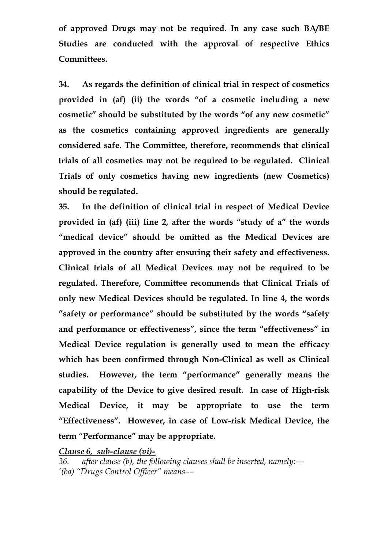**of approved Drugs may not be required. In any case such BA/BE Studies are conducted with the approval of respective Ethics Committees.** 

**34. As regards the definition of clinical trial in respect of cosmetics provided in (af) (ii) the words "of a cosmetic including a new cosmetic" should be substituted by the words "of any new cosmetic" as the cosmetics containing approved ingredients are generally considered safe. The Committee, therefore, recommends that clinical trials of all cosmetics may not be required to be regulated. Clinical Trials of only cosmetics having new ingredients (new Cosmetics) should be regulated.** 

**35. In the definition of clinical trial in respect of Medical Device provided in (af) (iii) line 2, after the words "study of a" the words "medical device" should be omitted as the Medical Devices are approved in the country after ensuring their safety and effectiveness. Clinical trials of all Medical Devices may not be required to be regulated. Therefore, Committee recommends that Clinical Trials of only new Medical Devices should be regulated. In line 4, the words "safety or performance" should be substituted by the words "safety and performance or effectiveness", since the term "effectiveness" in Medical Device regulation is generally used to mean the efficacy which has been confirmed through Non-Clinical as well as Clinical studies. However, the term "performance" generally means the capability of the Device to give desired result. In case of High-risk Medical Device, it may be appropriate to use the term "Effectiveness". However, in case of Low-risk Medical Device, the term "Performance" may be appropriate.** 

*Clause 6, sub-clause (vi)-*

*36. after clause (b), the following clauses shall be inserted, namely:–– '(ba) "Drugs Control Officer" means––*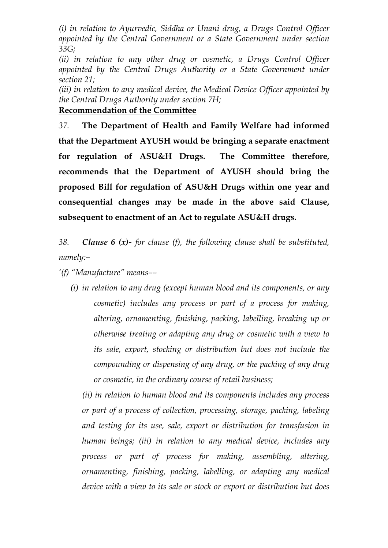*(i) in relation to Ayurvedic, Siddha or Unani drug, a Drugs Control Officer appointed by the Central Government or a State Government under section 33G;* 

*(ii) in relation to any other drug or cosmetic, a Drugs Control Officer appointed by the Central Drugs Authority or a State Government under section 21;* 

*(iii) in relation to any medical device, the Medical Device Officer appointed by the Central Drugs Authority under section 7H;* **Recommendation of the Committee**

*37.* **The Department of Health and Family Welfare had informed that the Department AYUSH would be bringing a separate enactment for regulation of ASU&H Drugs. The Committee therefore, recommends that the Department of AYUSH should bring the proposed Bill for regulation of ASU&H Drugs within one year and consequential changes may be made in the above said Clause, subsequent to enactment of an Act to regulate ASU&H drugs.** 

*38. Clause 6 (x)- for clause (f), the following clause shall be substituted, namely:–* 

*'(f) "Manufacture" means––* 

*(i) in relation to any drug (except human blood and its components, or any cosmetic) includes any process or part of a process for making, altering, ornamenting, finishing, packing, labelling, breaking up or otherwise treating or adapting any drug or cosmetic with a view to its sale, export, stocking or distribution but does not include the compounding or dispensing of any drug, or the packing of any drug or cosmetic, in the ordinary course of retail business;* 

*(ii) in relation to human blood and its components includes any process or part of a process of collection, processing, storage, packing, labeling and testing for its use, sale, export or distribution for transfusion in human beings; (iii) in relation to any medical device, includes any process or part of process for making, assembling, altering, ornamenting, finishing, packing, labelling, or adapting any medical device with a view to its sale or stock or export or distribution but does*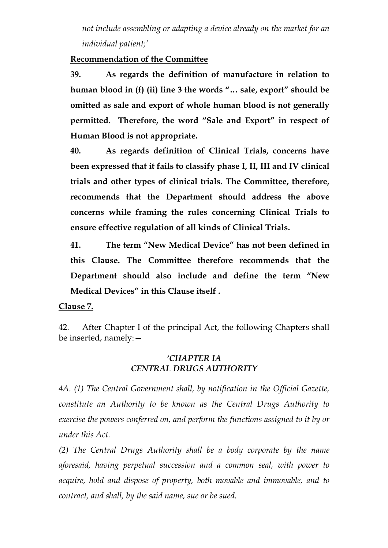*not include assembling or adapting a device already on the market for an individual patient;'* 

#### **Recommendation of the Committee**

**39. As regards the definition of manufacture in relation to human blood in (f) (ii) line 3 the words "… sale, export" should be omitted as sale and export of whole human blood is not generally permitted. Therefore, the word "Sale and Export" in respect of Human Blood is not appropriate.** 

**40. As regards definition of Clinical Trials, concerns have been expressed that it fails to classify phase I, II, III and IV clinical trials and other types of clinical trials. The Committee, therefore, recommends that the Department should address the above concerns while framing the rules concerning Clinical Trials to ensure effective regulation of all kinds of Clinical Trials.** 

**41. The term "New Medical Device" has not been defined in this Clause. The Committee therefore recommends that the Department should also include and define the term "New Medical Devices" in this Clause itself .** 

**Clause 7.**

42. After Chapter I of the principal Act, the following Chapters shall be inserted, namely:—

#### *'CHAPTER IA CENTRAL DRUGS AUTHORITY*

*4A. (1) The Central Government shall, by notification in the Official Gazette, constitute an Authority to be known as the Central Drugs Authority to exercise the powers conferred on, and perform the functions assigned to it by or under this Act.* 

*(2) The Central Drugs Authority shall be a body corporate by the name aforesaid, having perpetual succession and a common seal, with power to acquire, hold and dispose of property, both movable and immovable, and to contract, and shall, by the said name, sue or be sued.*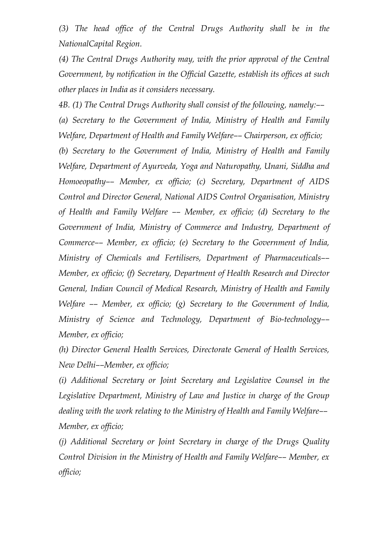*(3) The head office of the Central Drugs Authority shall be in the NationalCapital Region.* 

*(4) The Central Drugs Authority may, with the prior approval of the Central Government, by notification in the Official Gazette, establish its offices at such other places in India as it considers necessary.* 

*4B. (1) The Central Drugs Authority shall consist of the following, namely:–– (a) Secretary to the Government of India, Ministry of Health and Family Welfare, Department of Health and Family Welfare–– Chairperson, ex officio;* 

*(b) Secretary to the Government of India, Ministry of Health and Family Welfare, Department of Ayurveda, Yoga and Naturopathy, Unani, Siddha and Homoeopathy–– Member, ex officio; (c) Secretary, Department of AIDS Control and Director General, National AIDS Control Organisation, Ministry of Health and Family Welfare –– Member, ex officio; (d) Secretary to the Government of India, Ministry of Commerce and Industry, Department of Commerce–– Member, ex officio; (e) Secretary to the Government of India, Ministry of Chemicals and Fertilisers, Department of Pharmaceuticals–– Member, ex officio; (f) Secretary, Department of Health Research and Director General, Indian Council of Medical Research, Ministry of Health and Family Welfare –– Member, ex officio; (g) Secretary to the Government of India, Ministry of Science and Technology, Department of Bio-technology–– Member, ex officio;* 

*(h) Director General Health Services, Directorate General of Health Services, New Delhi––Member, ex officio;* 

*(i) Additional Secretary or Joint Secretary and Legislative Counsel in the Legislative Department, Ministry of Law and Justice in charge of the Group dealing with the work relating to the Ministry of Health and Family Welfare–– Member, ex officio;* 

*(j) Additional Secretary or Joint Secretary in charge of the Drugs Quality Control Division in the Ministry of Health and Family Welfare–– Member, ex officio;*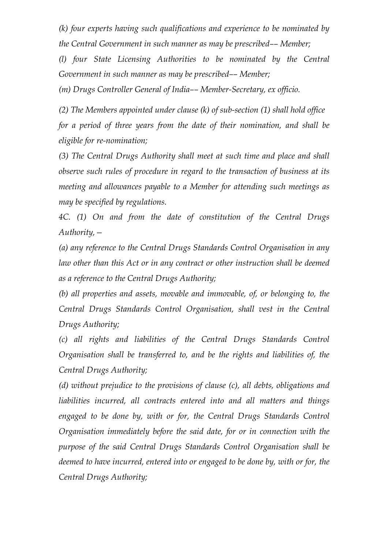*(k) four experts having such qualifications and experience to be nominated by the Central Government in such manner as may be prescribed–– Member;* 

*(l) four State Licensing Authorities to be nominated by the Central Government in such manner as may be prescribed–– Member;* 

*(m) Drugs Controller General of India–– Member-Secretary, ex officio.* 

*(2) The Members appointed under clause (k) of sub-section (1) shall hold office for a period of three years from the date of their nomination, and shall be eligible for re-nomination;* 

*(3) The Central Drugs Authority shall meet at such time and place and shall observe such rules of procedure in regard to the transaction of business at its meeting and allowances payable to a Member for attending such meetings as may be specified by regulations.* 

*4C. (1) On and from the date of constitution of the Central Drugs Authority,—* 

*(a) any reference to the Central Drugs Standards Control Organisation in any*  law other than this Act or in any contract or other instruction shall be deemed *as a reference to the Central Drugs Authority;* 

*(b) all properties and assets, movable and immovable, of, or belonging to, the Central Drugs Standards Control Organisation, shall vest in the Central Drugs Authority;* 

*(c) all rights and liabilities of the Central Drugs Standards Control Organisation shall be transferred to, and be the rights and liabilities of, the Central Drugs Authority;* 

*(d) without prejudice to the provisions of clause (c), all debts, obligations and liabilities incurred, all contracts entered into and all matters and things engaged to be done by, with or for, the Central Drugs Standards Control Organisation immediately before the said date, for or in connection with the purpose of the said Central Drugs Standards Control Organisation shall be deemed to have incurred, entered into or engaged to be done by, with or for, the Central Drugs Authority;*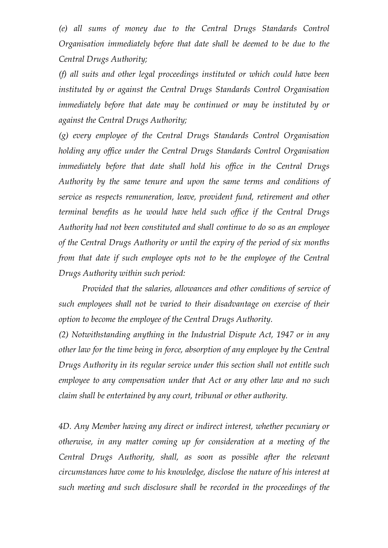*(e) all sums of money due to the Central Drugs Standards Control Organisation immediately before that date shall be deemed to be due to the Central Drugs Authority;* 

*(f) all suits and other legal proceedings instituted or which could have been instituted by or against the Central Drugs Standards Control Organisation immediately before that date may be continued or may be instituted by or against the Central Drugs Authority;* 

*(g) every employee of the Central Drugs Standards Control Organisation holding any office under the Central Drugs Standards Control Organisation immediately before that date shall hold his office in the Central Drugs Authority by the same tenure and upon the same terms and conditions of service as respects remuneration, leave, provident fund, retirement and other terminal benefits as he would have held such office if the Central Drugs Authority had not been constituted and shall continue to do so as an employee of the Central Drugs Authority or until the expiry of the period of six months from that date if such employee opts not to be the employee of the Central Drugs Authority within such period:* 

*Provided that the salaries, allowances and other conditions of service of such employees shall not be varied to their disadvantage on exercise of their option to become the employee of the Central Drugs Authority.* 

*(2) Notwithstanding anything in the Industrial Dispute Act, 1947 or in any other law for the time being in force, absorption of any employee by the Central Drugs Authority in its regular service under this section shall not entitle such employee to any compensation under that Act or any other law and no such claim shall be entertained by any court, tribunal or other authority.* 

*4D. Any Member having any direct or indirect interest, whether pecuniary or otherwise, in any matter coming up for consideration at a meeting of the Central Drugs Authority, shall, as soon as possible after the relevant circumstances have come to his knowledge, disclose the nature of his interest at such meeting and such disclosure shall be recorded in the proceedings of the*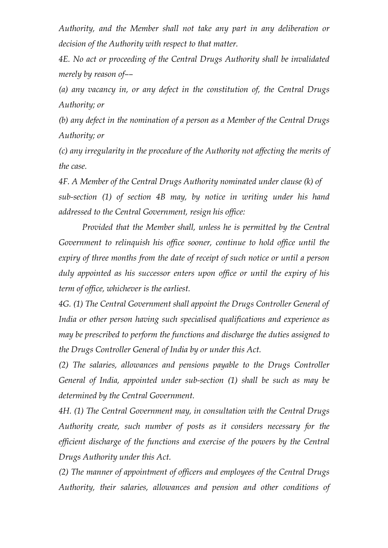*Authority, and the Member shall not take any part in any deliberation or decision of the Authority with respect to that matter.* 

*4E. No act or proceeding of the Central Drugs Authority shall be invalidated merely by reason of––* 

*(a) any vacancy in, or any defect in the constitution of, the Central Drugs Authority; or* 

*(b) any defect in the nomination of a person as a Member of the Central Drugs Authority; or* 

*(c) any irregularity in the procedure of the Authority not affecting the merits of the case.* 

*4F. A Member of the Central Drugs Authority nominated under clause (k) of sub-section (1) of section 4B may, by notice in writing under his hand addressed to the Central Government, resign his office:* 

*Provided that the Member shall, unless he is permitted by the Central Government to relinquish his office sooner, continue to hold office until the expiry of three months from the date of receipt of such notice or until a person duly appointed as his successor enters upon office or until the expiry of his term of office, whichever is the earliest.* 

*4G. (1) The Central Government shall appoint the Drugs Controller General of India or other person having such specialised qualifications and experience as may be prescribed to perform the functions and discharge the duties assigned to the Drugs Controller General of India by or under this Act.* 

*(2) The salaries, allowances and pensions payable to the Drugs Controller General of India, appointed under sub-section (1) shall be such as may be determined by the Central Government.* 

*4H. (1) The Central Government may, in consultation with the Central Drugs Authority create, such number of posts as it considers necessary for the efficient discharge of the functions and exercise of the powers by the Central Drugs Authority under this Act.* 

*(2) The manner of appointment of officers and employees of the Central Drugs Authority, their salaries, allowances and pension and other conditions of*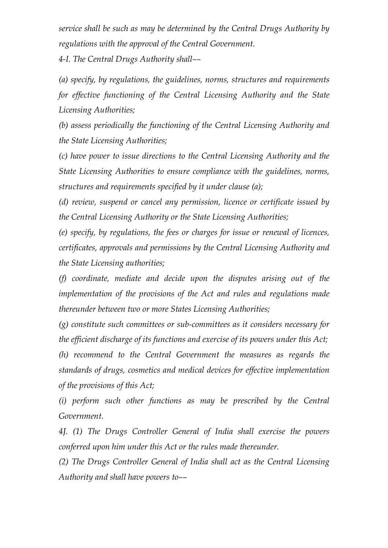*service shall be such as may be determined by the Central Drugs Authority by regulations with the approval of the Central Government.* 

*4-I. The Central Drugs Authority shall––* 

*(a) specify, by regulations, the guidelines, norms, structures and requirements for effective functioning of the Central Licensing Authority and the State Licensing Authorities;* 

*(b) assess periodically the functioning of the Central Licensing Authority and the State Licensing Authorities;* 

*(c) have power to issue directions to the Central Licensing Authority and the State Licensing Authorities to ensure compliance with the guidelines, norms, structures and requirements specified by it under clause (a);* 

*(d) review, suspend or cancel any permission, licence or certificate issued by the Central Licensing Authority or the State Licensing Authorities;* 

*(e) specify, by regulations, the fees or charges for issue or renewal of licences, certificates, approvals and permissions by the Central Licensing Authority and the State Licensing authorities;* 

*(f) coordinate, mediate and decide upon the disputes arising out of the implementation of the provisions of the Act and rules and regulations made thereunder between two or more States Licensing Authorities;* 

*(g) constitute such committees or sub-committees as it considers necessary for the efficient discharge of its functions and exercise of its powers under this Act;* 

*(h) recommend to the Central Government the measures as regards the standards of drugs, cosmetics and medical devices for effective implementation of the provisions of this Act;* 

*(i) perform such other functions as may be prescribed by the Central Government.* 

*4J. (1) The Drugs Controller General of India shall exercise the powers conferred upon him under this Act or the rules made thereunder.* 

*(2) The Drugs Controller General of India shall act as the Central Licensing Authority and shall have powers to––*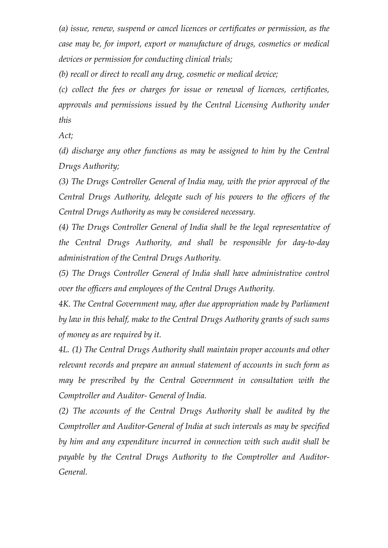*(a) issue, renew, suspend or cancel licences or certificates or permission, as the case may be, for import, export or manufacture of drugs, cosmetics or medical devices or permission for conducting clinical trials;* 

*(b) recall or direct to recall any drug, cosmetic or medical device;* 

*(c) collect the fees or charges for issue or renewal of licences, certificates, approvals and permissions issued by the Central Licensing Authority under this* 

*Act;* 

*(d) discharge any other functions as may be assigned to him by the Central Drugs Authority;* 

*(3) The Drugs Controller General of India may, with the prior approval of the Central Drugs Authority, delegate such of his powers to the officers of the Central Drugs Authority as may be considered necessary.* 

*(4) The Drugs Controller General of India shall be the legal representative of the Central Drugs Authority, and shall be responsible for day-to-day administration of the Central Drugs Authority.* 

*(5) The Drugs Controller General of India shall have administrative control over the officers and employees of the Central Drugs Authority.* 

*4K. The Central Government may, after due appropriation made by Parliament by law in this behalf, make to the Central Drugs Authority grants of such sums of money as are required by it.* 

*4L. (1) The Central Drugs Authority shall maintain proper accounts and other relevant records and prepare an annual statement of accounts in such form as may be prescribed by the Central Government in consultation with the Comptroller and Auditor- General of India.* 

*(2) The accounts of the Central Drugs Authority shall be audited by the Comptroller and Auditor-General of India at such intervals as may be specified by him and any expenditure incurred in connection with such audit shall be payable by the Central Drugs Authority to the Comptroller and Auditor-General.*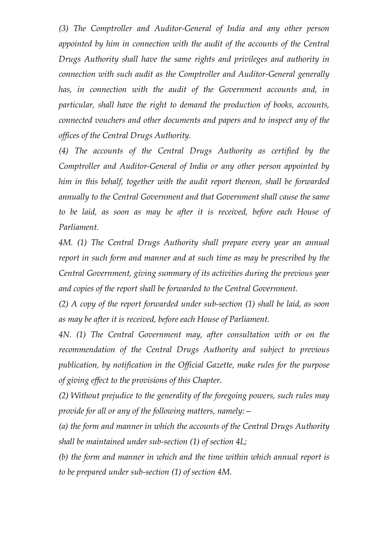*(3) The Comptroller and Auditor-General of India and any other person appointed by him in connection with the audit of the accounts of the Central Drugs Authority shall have the same rights and privileges and authority in connection with such audit as the Comptroller and Auditor-General generally has, in connection with the audit of the Government accounts and, in particular, shall have the right to demand the production of books, accounts, connected vouchers and other documents and papers and to inspect any of the offices of the Central Drugs Authority.* 

*(4) The accounts of the Central Drugs Authority as certified by the Comptroller and Auditor-General of India or any other person appointed by him in this behalf, together with the audit report thereon, shall be forwarded annually to the Central Government and that Government shall cause the same to be laid, as soon as may be after it is received, before each House of Parliament.* 

*4M. (1) The Central Drugs Authority shall prepare every year an annual report in such form and manner and at such time as may be prescribed by the Central Government, giving summary of its activities during the previous year and copies of the report shall be forwarded to the Central Government.* 

*(2) A copy of the report forwarded under sub-section (1) shall be laid, as soon as may be after it is received, before each House of Parliament.* 

*4N. (1) The Central Government may, after consultation with or on the recommendation of the Central Drugs Authority and subject to previous publication, by notification in the Official Gazette, make rules for the purpose of giving effect to the provisions of this Chapter.*

*(2) Without prejudice to the generality of the foregoing powers, such rules may provide for all or any of the following matters, namely:—* 

*(a) the form and manner in which the accounts of the Central Drugs Authority shall be maintained under sub-section (1) of section 4L;* 

*(b) the form and manner in which and the time within which annual report is to be prepared under sub-section (1) of section 4M.*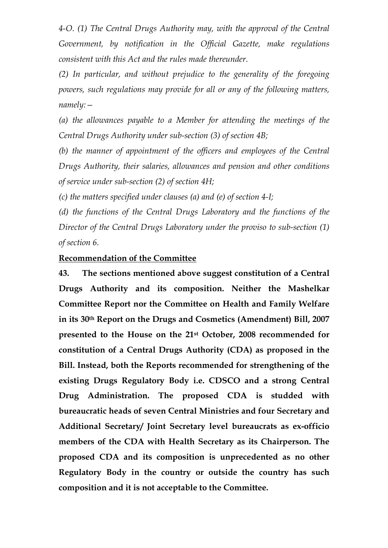*4-O. (1) The Central Drugs Authority may, with the approval of the Central Government, by notification in the Official Gazette, make regulations consistent with this Act and the rules made thereunder.* 

*(2) In particular, and without prejudice to the generality of the foregoing powers, such regulations may provide for all or any of the following matters, namely:—* 

*(a) the allowances payable to a Member for attending the meetings of the Central Drugs Authority under sub-section (3) of section 4B;* 

*(b) the manner of appointment of the officers and employees of the Central Drugs Authority, their salaries, allowances and pension and other conditions of service under sub-section (2) of section 4H;* 

*(c) the matters specified under clauses (a) and (e) of section 4-I;* 

*(d) the functions of the Central Drugs Laboratory and the functions of the Director of the Central Drugs Laboratory under the proviso to sub-section (1) of section 6.* 

#### **Recommendation of the Committee**

**43. The sections mentioned above suggest constitution of a Central Drugs Authority and its composition. Neither the Mashelkar Committee Report nor the Committee on Health and Family Welfare in its 30th Report on the Drugs and Cosmetics (Amendment) Bill, 2007 presented to the House on the 21st October, 2008 recommended for constitution of a Central Drugs Authority (CDA) as proposed in the Bill. Instead, both the Reports recommended for strengthening of the existing Drugs Regulatory Body i.e. CDSCO and a strong Central Drug Administration. The proposed CDA is studded with bureaucratic heads of seven Central Ministries and four Secretary and Additional Secretary/ Joint Secretary level bureaucrats as ex-officio members of the CDA with Health Secretary as its Chairperson. The proposed CDA and its composition is unprecedented as no other Regulatory Body in the country or outside the country has such composition and it is not acceptable to the Committee.**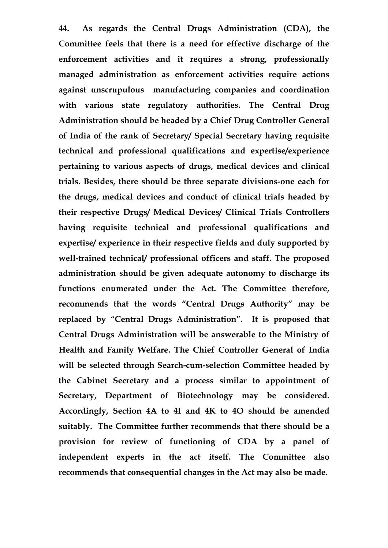**44. As regards the Central Drugs Administration (CDA), the Committee feels that there is a need for effective discharge of the enforcement activities and it requires a strong, professionally managed administration as enforcement activities require actions against unscrupulous manufacturing companies and coordination with various state regulatory authorities. The Central Drug Administration should be headed by a Chief Drug Controller General of India of the rank of Secretary/ Special Secretary having requisite technical and professional qualifications and expertise/experience pertaining to various aspects of drugs, medical devices and clinical trials. Besides, there should be three separate divisions-one each for the drugs, medical devices and conduct of clinical trials headed by their respective Drugs/ Medical Devices/ Clinical Trials Controllers having requisite technical and professional qualifications and expertise/ experience in their respective fields and duly supported by well-trained technical/ professional officers and staff. The proposed administration should be given adequate autonomy to discharge its functions enumerated under the Act. The Committee therefore, recommends that the words "Central Drugs Authority" may be replaced by "Central Drugs Administration". It is proposed that Central Drugs Administration will be answerable to the Ministry of Health and Family Welfare. The Chief Controller General of India will be selected through Search-cum-selection Committee headed by the Cabinet Secretary and a process similar to appointment of Secretary, Department of Biotechnology may be considered. Accordingly, Section 4A to 4I and 4K to 4O should be amended suitably. The Committee further recommends that there should be a provision for review of functioning of CDA by a panel of independent experts in the act itself. The Committee also recommends that consequential changes in the Act may also be made.**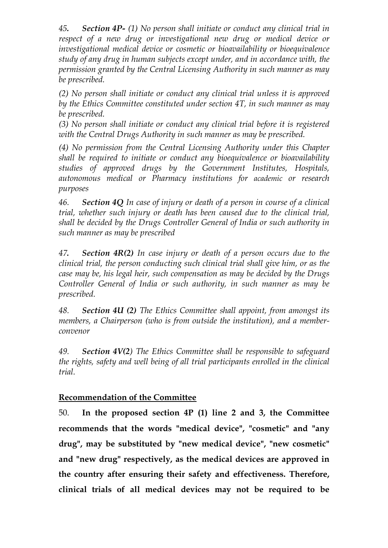*45. Section 4P- (1) No person shall initiate or conduct any clinical trial in respect of a new drug or investigational new drug or medical device or investigational medical device or cosmetic or bioavailability or bioequivalence study of any drug in human subjects except under, and in accordance with, the permission granted by the Central Licensing Authority in such manner as may be prescribed.* 

*(2) No person shall initiate or conduct any clinical trial unless it is approved by the Ethics Committee constituted under section 4T, in such manner as may be prescribed.* 

*(3) No person shall initiate or conduct any clinical trial before it is registered with the Central Drugs Authority in such manner as may be prescribed.* 

*(4) No permission from the Central Licensing Authority under this Chapter shall be required to initiate or conduct any bioequivalence or bioavailability studies of approved drugs by the Government Institutes, Hospitals, autonomous medical or Pharmacy institutions for academic or research purposes*

*46. Section 4Q In case of injury or death of a person in course of a clinical trial, whether such injury or death has been caused due to the clinical trial, shall be decided by the Drugs Controller General of India or such authority in such manner as may be prescribed* 

*47. Section 4R(2) In case injury or death of a person occurs due to the clinical trial, the person conducting such clinical trial shall give him, or as the case may be, his legal heir, such compensation as may be decided by the Drugs Controller General of India or such authority, in such manner as may be prescribed.*

*48. Section 4U (2) The Ethics Committee shall appoint, from amongst its members, a Chairperson (who is from outside the institution), and a memberconvenor* 

*49. Section 4V(2) The Ethics Committee shall be responsible to safeguard the rights, safety and well being of all trial participants enrolled in the clinical trial.*

## **Recommendation of the Committee**

50. **In the proposed section 4P (1) line 2 and 3, the Committee recommends that the words "medical device", "cosmetic" and "any drug", may be substituted by "new medical device", "new cosmetic" and "new drug" respectively, as the medical devices are approved in the country after ensuring their safety and effectiveness. Therefore, clinical trials of all medical devices may not be required to be**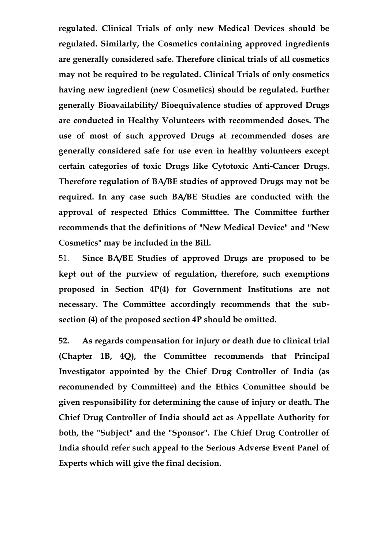**regulated. Clinical Trials of only new Medical Devices should be regulated. Similarly, the Cosmetics containing approved ingredients are generally considered safe. Therefore clinical trials of all cosmetics may not be required to be regulated. Clinical Trials of only cosmetics having new ingredient (new Cosmetics) should be regulated. Further generally Bioavailability/ Bioequivalence studies of approved Drugs are conducted in Healthy Volunteers with recommended doses. The use of most of such approved Drugs at recommended doses are generally considered safe for use even in healthy volunteers except certain categories of toxic Drugs like Cytotoxic Anti-Cancer Drugs. Therefore regulation of BA/BE studies of approved Drugs may not be required. In any case such BA/BE Studies are conducted with the approval of respected Ethics Committtee. The Committee further recommends that the definitions of "New Medical Device" and "New Cosmetics" may be included in the Bill.** 

51. **Since BA/BE Studies of approved Drugs are proposed to be kept out of the purview of regulation, therefore, such exemptions proposed in Section 4P(4) for Government Institutions are not necessary. The Committee accordingly recommends that the subsection (4) of the proposed section 4P should be omitted.** 

**52. As regards compensation for injury or death due to clinical trial (Chapter 1B, 4Q), the Committee recommends that Principal Investigator appointed by the Chief Drug Controller of India (as recommended by Committee) and the Ethics Committee should be given responsibility for determining the cause of injury or death. The Chief Drug Controller of India should act as Appellate Authority for both, the "Subject" and the "Sponsor". The Chief Drug Controller of India should refer such appeal to the Serious Adverse Event Panel of Experts which will give the final decision.**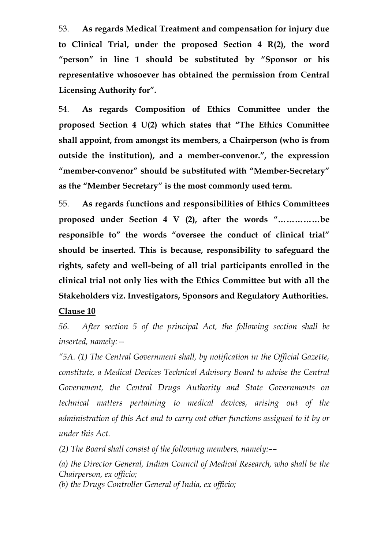53. **As regards Medical Treatment and compensation for injury due to Clinical Trial, under the proposed Section 4 R(2), the word "person" in line 1 should be substituted by "Sponsor or his representative whosoever has obtained the permission from Central Licensing Authority for".** 

54. **As regards Composition of Ethics Committee under the proposed Section 4 U(2) which states that "The Ethics Committee shall appoint, from amongst its members, a Chairperson (who is from outside the institution), and a member-convenor.", the expression "member-convenor" should be substituted with "Member-Secretary" as the "Member Secretary" is the most commonly used term.** 

55. **As regards functions and responsibilities of Ethics Committees proposed under Section 4 V (2), after the words "……………be responsible to" the words "oversee the conduct of clinical trial" should be inserted. This is because, responsibility to safeguard the rights, safety and well-being of all trial participants enrolled in the clinical trial not only lies with the Ethics Committee but with all the Stakeholders viz. Investigators, Sponsors and Regulatory Authorities.** 

#### **Clause 10**

*56. After section 5 of the principal Act, the following section shall be inserted, namely:—* 

*"5A. (1) The Central Government shall, by notification in the Official Gazette, constitute, a Medical Devices Technical Advisory Board to advise the Central Government, the Central Drugs Authority and State Governments on technical matters pertaining to medical devices, arising out of the administration of this Act and to carry out other functions assigned to it by or under this Act.* 

*(2) The Board shall consist of the following members, namely:––* 

*(a) the Director General, Indian Council of Medical Research, who shall be the Chairperson, ex officio; (b) the Drugs Controller General of India, ex officio;*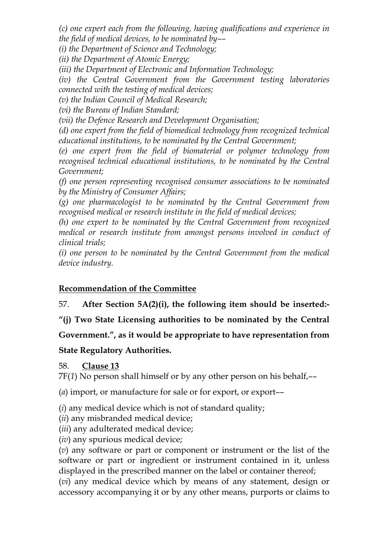*(c) one expert each from the following, having qualifications and experience in the field of medical devices, to be nominated by––* 

*(i) the Department of Science and Technology;* 

*(ii) the Department of Atomic Energy;* 

*(iii) the Department of Electronic and Information Technology;* 

*(iv) the Central Government from the Government testing laboratories connected with the testing of medical devices;* 

*(v) the Indian Council of Medical Research;* 

*(vi) the Bureau of Indian Standard;* 

*(vii) the Defence Research and Development Organisation;* 

*(d) one expert from the field of biomedical technology from recognized technical educational institutions, to be nominated by the Central Government;* 

*(e) one expert from the field of biomaterial or polymer technology from recognised technical educational institutions, to be nominated by the Central Government;* 

*(f) one person representing recognised consumer associations to be nominated by the Ministry of Consumer Affairs;* 

*(g) one pharmacologist to be nominated by the Central Government from recognised medical or research institute in the field of medical devices;* 

*(h) one expert to be nominated by the Central Government from recognized medical or research institute from amongst persons involved in conduct of clinical trials;* 

*(i) one person to be nominated by the Central Government from the medical device industry.*

## **Recommendation of the Committee**

57. **After Section 5A(2)(i), the following item should be inserted:-** 

**"(j) Two State Licensing authorities to be nominated by the Central** 

**Government.", as it would be appropriate to have representation from** 

#### **State Regulatory Authorities.**

58. **Clause 13**

7F(*1*) No person shall himself or by any other person on his behalf,––

(*a*) import, or manufacture for sale or for export, or export––

(*i*) any medical device which is not of standard quality;

(*ii*) any misbranded medical device;

(*iii*) any adulterated medical device;

(*iv*) any spurious medical device;

(*v*) any software or part or component or instrument or the list of the software or part or ingredient or instrument contained in it, unless displayed in the prescribed manner on the label or container thereof;

(*vi*) any medical device which by means of any statement, design or accessory accompanying it or by any other means, purports or claims to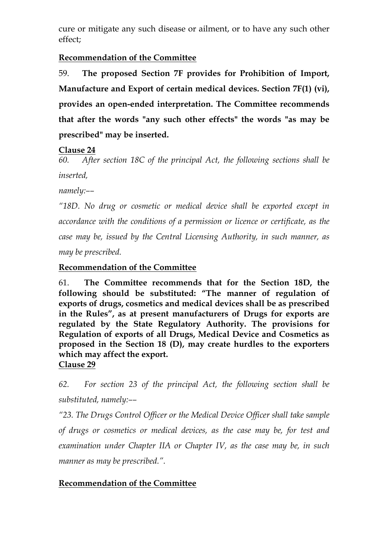cure or mitigate any such disease or ailment, or to have any such other effect;

## **Recommendation of the Committee**

59. **The proposed Section 7F provides for Prohibition of Import, Manufacture and Export of certain medical devices. Section 7F(1) (vi), provides an open-ended interpretation. The Committee recommends that after the words "any such other effects" the words "as may be prescribed" may be inserted.** 

#### **Clause 24**

*60. After section 18C of the principal Act, the following sections shall be inserted,* 

*namely:––* 

*"18D. No drug or cosmetic or medical device shall be exported except in accordance with the conditions of a permission or licence or certificate, as the case may be, issued by the Central Licensing Authority, in such manner, as may be prescribed.*

## **Recommendation of the Committee**

61. **The Committee recommends that for the Section 18D, the following should be substituted: "The manner of regulation of exports of drugs, cosmetics and medical devices shall be as prescribed in the Rules", as at present manufacturers of Drugs for exports are regulated by the State Regulatory Authority. The provisions for Regulation of exports of all Drugs, Medical Device and Cosmetics as proposed in the Section 18 (D), may create hurdles to the exporters which may affect the export. Clause 29**

*62. For section 23 of the principal Act, the following section shall be substituted, namely:––* 

*"23. The Drugs Control Officer or the Medical Device Officer shall take sample of drugs or cosmetics or medical devices, as the case may be, for test and examination under Chapter IIA or Chapter IV, as the case may be, in such manner as may be prescribed.".*

## **Recommendation of the Committee**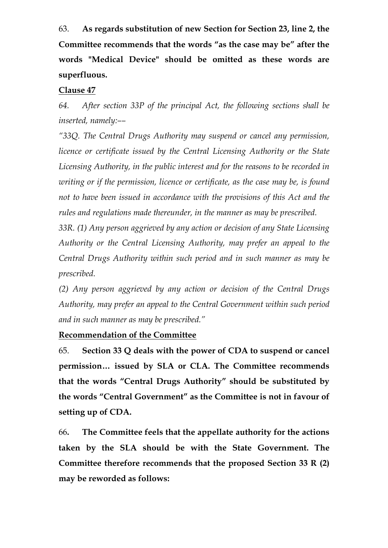63. **As regards substitution of new Section for Section 23, line 2, the Committee recommends that the words "as the case may be" after the words "Medical Device" should be omitted as these words are superfluous.** 

#### **Clause 47**

*64. After section 33P of the principal Act, the following sections shall be inserted, namely:––* 

*"33Q. The Central Drugs Authority may suspend or cancel any permission, licence or certificate issued by the Central Licensing Authority or the State Licensing Authority, in the public interest and for the reasons to be recorded in writing or if the permission, licence or certificate, as the case may be, is found not to have been issued in accordance with the provisions of this Act and the rules and regulations made thereunder, in the manner as may be prescribed.* 

*33R. (1) Any person aggrieved by any action or decision of any State Licensing Authority or the Central Licensing Authority, may prefer an appeal to the Central Drugs Authority within such period and in such manner as may be prescribed.* 

*(2) Any person aggrieved by any action or decision of the Central Drugs Authority, may prefer an appeal to the Central Government within such period and in such manner as may be prescribed."* 

#### **Recommendation of the Committee**

65. **Section 33 Q deals with the power of CDA to suspend or cancel permission… issued by SLA or CLA. The Committee recommends that the words "Central Drugs Authority" should be substituted by the words "Central Government" as the Committee is not in favour of setting up of CDA.** 

66**. The Committee feels that the appellate authority for the actions taken by the SLA should be with the State Government. The Committee therefore recommends that the proposed Section 33 R (2) may be reworded as follows:**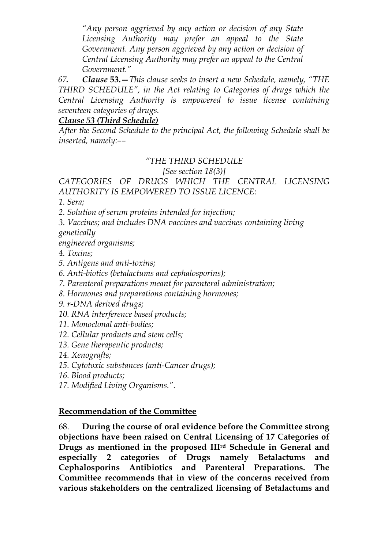*"Any person aggrieved by any action or decision of any State Licensing Authority may prefer an appeal to the State Government. Any person aggrieved by any action or decision of Central Licensing Authority may prefer an appeal to the Central Government."*

*67. Clause* **53.—***This clause seeks to insert a new Schedule, namely, "THE THIRD SCHEDULE", in the Act relating to Categories of drugs which the Central Licensing Authority is empowered to issue license containing seventeen categories of drugs.*

#### *Clause 53 (Third Schedule)*

*After the Second Schedule to the principal Act, the following Schedule shall be inserted, namely:––* 

## *"THE THIRD SCHEDULE*

 *[See section 18(3)]* 

#### *CATEGORIES OF DRUGS WHICH THE CENTRAL LICENSING AUTHORITY IS EMPOWERED TO ISSUE LICENCE:*

*1. Sera;* 

- *2. Solution of serum proteins intended for injection;*
- *3. Vaccines; and includes DNA vaccines and vaccines containing living genetically*

*engineered organisms;* 

- *4. Toxins;*
- *5. Antigens and anti-toxins;*
- *6. Anti-biotics (betalactums and cephalosporins);*
- *7. Parenteral preparations meant for parenteral administration;*
- *8. Hormones and preparations containing hormones;*
- *9. r-DNA derived drugs;*
- *10. RNA interference based products;*
- *11. Monoclonal anti-bodies;*
- *12. Cellular products and stem cells;*
- *13. Gene therapeutic products;*
- *14. Xenografts;*
- *15. Cytotoxic substances (anti-Cancer drugs);*
- *16. Blood products;*
- *17. Modified Living Organisms.".*

#### **Recommendation of the Committee**

68. **During the course of oral evidence before the Committee strong objections have been raised on Central Licensing of 17 Categories of Drugs as mentioned in the proposed IIIrd Schedule in General and especially 2 categories of Drugs namely Betalactums and Cephalosporins Antibiotics and Parenteral Preparations. The Committee recommends that in view of the concerns received from various stakeholders on the centralized licensing of Betalactums and**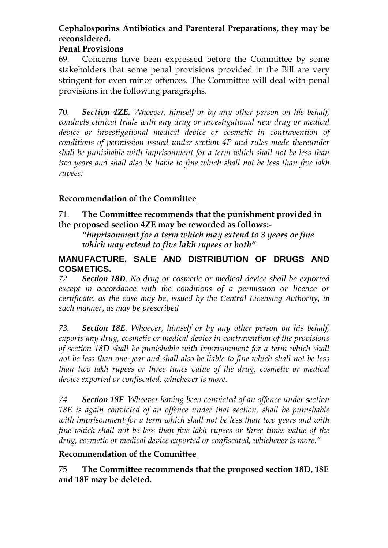# **Cephalosporins Antibiotics and Parenteral Preparations, they may be reconsidered.**

## **Penal Provisions**

69. Concerns have been expressed before the Committee by some stakeholders that some penal provisions provided in the Bill are very stringent for even minor offences. The Committee will deal with penal provisions in the following paragraphs.

70*. Section 4ZE. Whoever, himself or by any other person on his behalf, conducts clinical trials with any drug or investigational new drug or medical device or investigational medical device or cosmetic in contravention of conditions of permission issued under section 4P and rules made thereunder shall be punishable with imprisonment for a term which shall not be less than two years and shall also be liable to fine which shall not be less than five lakh rupees:*

## **Recommendation of the Committee**

#### 71. **The Committee recommends that the punishment provided in the proposed section 4ZE may be reworded as follows:-**

*"imprisonment for a term which may extend to 3 years or fine which may extend to five lakh rupees or both"* 

#### **MANUFACTURE, SALE AND DISTRIBUTION OF DRUGS AND COSMETICS.**

*72 Section 18D. No drug or cosmetic or medical device shall be exported except in accordance with the conditions of a permission or licence or certificate, as the case may be, issued by the Central Licensing Authority, in such manner, as may be prescribed* 

*73. Section 18E. Whoever, himself or by any other person on his behalf, exports any drug, cosmetic or medical device in contravention of the provisions of section 18D shall be punishable with imprisonment for a term which shall not be less than one year and shall also be liable to fine which shall not be less than two lakh rupees or three times value of the drug, cosmetic or medical device exported or confiscated, whichever is more.* 

*74. Section 18F Whoever having been convicted of an offence under section 18E is again convicted of an offence under that section, shall be punishable with imprisonment for a term which shall not be less than two years and with fine which shall not be less than five lakh rupees or three times value of the drug, cosmetic or medical device exported or confiscated, whichever is more."*

#### **Recommendation of the Committee**

75 **The Committee recommends that the proposed section 18D, 18E and 18F may be deleted.**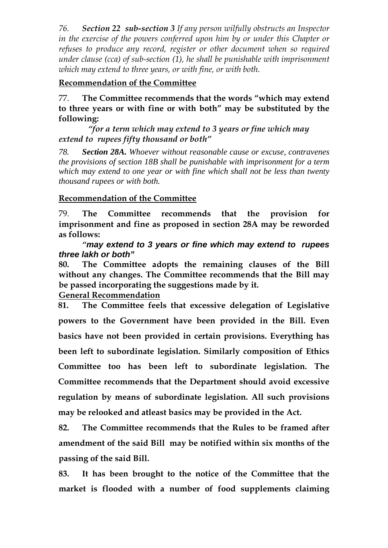*76. Section 22 sub-section 3 If any person wilfully obstructs an Inspector in the exercise of the powers conferred upon him by or under this Chapter or refuses to produce any record, register or other document when so required under clause (cca) of sub-section (1), he shall be punishable with imprisonment which may extend to three years, or with fine, or with both.*

#### **Recommendation of the Committee**

77. **The Committee recommends that the words "which may extend to three years or with fine or with both" may be substituted by the following:** 

 *"for a term which may extend to 3 years or fine which may extend to rupees fifty thousand or both"* 

*78. Section 28A. Whoever without reasonable cause or excuse, contravenes the provisions of section 18B shall be punishable with imprisonment for a term which may extend to one year or with fine which shall not be less than twenty thousand rupees or with both.*

#### **Recommendation of the Committee**

79. **The Committee recommends that the provision for imprisonment and fine as proposed in section 28A may be reworded as follows:** 

*"***may extend to 3 years or fine which may extend to rupees three lakh or both"**

**80. The Committee adopts the remaining clauses of the Bill without any changes. The Committee recommends that the Bill may be passed incorporating the suggestions made by it.** 

**General Recommendation**

**81. The Committee feels that excessive delegation of Legislative powers to the Government have been provided in the Bill. Even basics have not been provided in certain provisions. Everything has been left to subordinate legislation. Similarly composition of Ethics Committee too has been left to subordinate legislation. The Committee recommends that the Department should avoid excessive regulation by means of subordinate legislation. All such provisions may be relooked and atleast basics may be provided in the Act.** 

**82. The Committee recommends that the Rules to be framed after amendment of the said Bill may be notified within six months of the passing of the said Bill.** 

**83. It has been brought to the notice of the Committee that the market is flooded with a number of food supplements claiming**